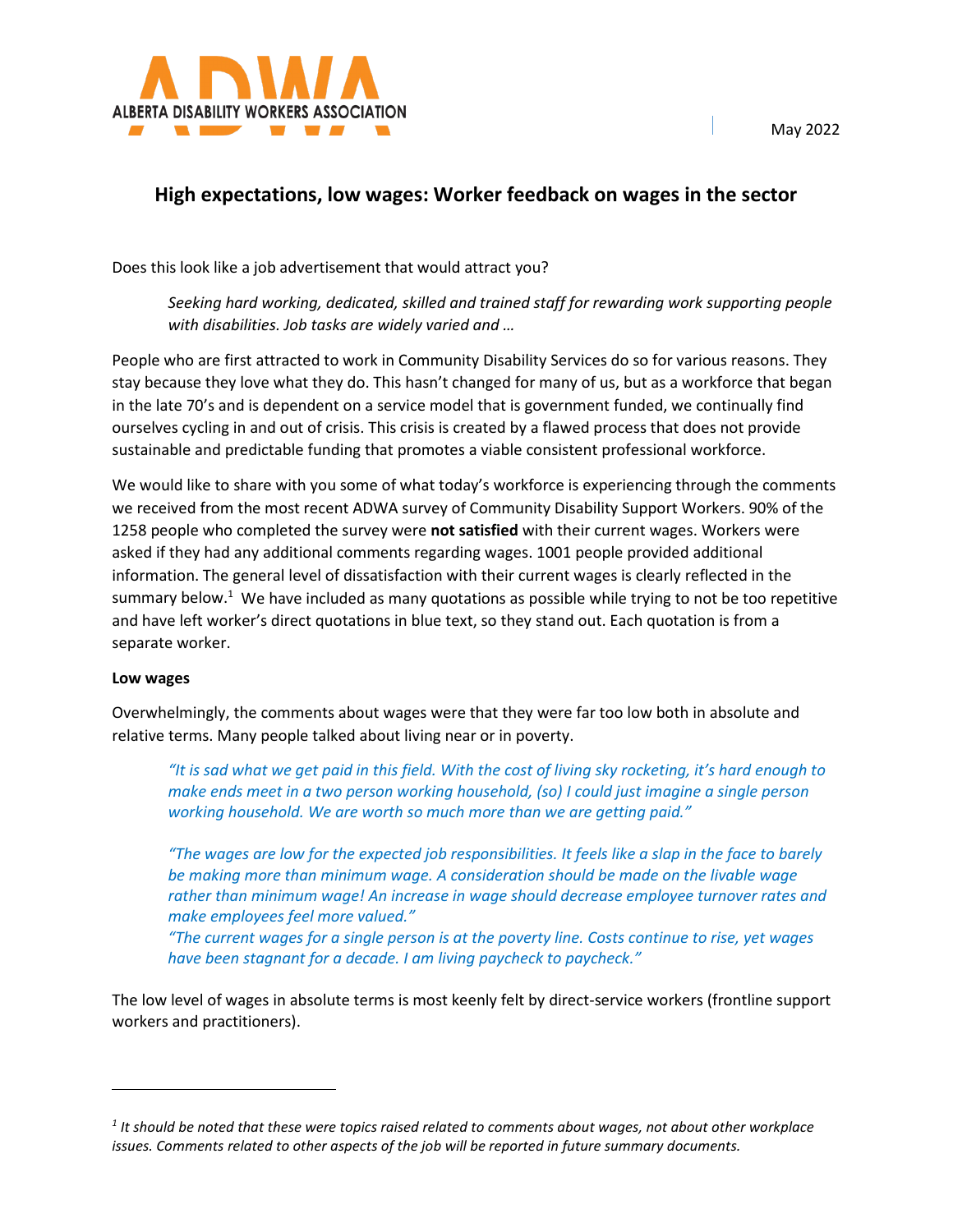

# **High expectations, low wages: Worker feedback on wages in the sector**

Does this look like a job advertisement that would attract you?

*Seeking hard working, dedicated, skilled and trained staff for rewarding work supporting people with disabilities. Job tasks are widely varied and …* 

People who are first attracted to work in Community Disability Services do so for various reasons. They stay because they love what they do. This hasn't changed for many of us, but as a workforce that began in the late 70's and is dependent on a service model that is government funded, we continually find ourselves cycling in and out of crisis. This crisis is created by a flawed process that does not provide sustainable and predictable funding that promotes a viable consistent professional workforce.

We would like to share with you some of what today's workforce is experiencing through the comments we received from the most recent ADWA survey of Community Disability Support Workers. 90% of the 1258 people who completed the survey were **not satisfied** with their current wages. Workers were asked if they had any additional comments regarding wages. 1001 people provided additional information. The general level of dissatisfaction with their current wages is clearly reflected in the summary below.<sup>1</sup> We have included as many quotations as possible while trying to not be too repetitive and have left worker's direct quotations in blue text, so they stand out. Each quotation is from a separate worker.

## **Low wages**

l

Overwhelmingly, the comments about wages were that they were far too low both in absolute and relative terms. Many people talked about living near or in poverty.

*"It is sad what we get paid in this field. With the cost of living sky rocketing, it's hard enough to make ends meet in a two person working household, (so) I could just imagine a single person working household. We are worth so much more than we are getting paid."*

*"The wages are low for the expected job responsibilities. It feels like a slap in the face to barely be making more than minimum wage. A consideration should be made on the livable wage rather than minimum wage! An increase in wage should decrease employee turnover rates and make employees feel more valued."*

*"The current wages for a single person is at the poverty line. Costs continue to rise, yet wages have been stagnant for a decade. I am living paycheck to paycheck."*

The low level of wages in absolute terms is most keenly felt by direct-service workers (frontline support workers and practitioners).

*<sup>1</sup> It should be noted that these were topics raised related to comments about wages, not about other workplace issues. Comments related to other aspects of the job will be reported in future summary documents.*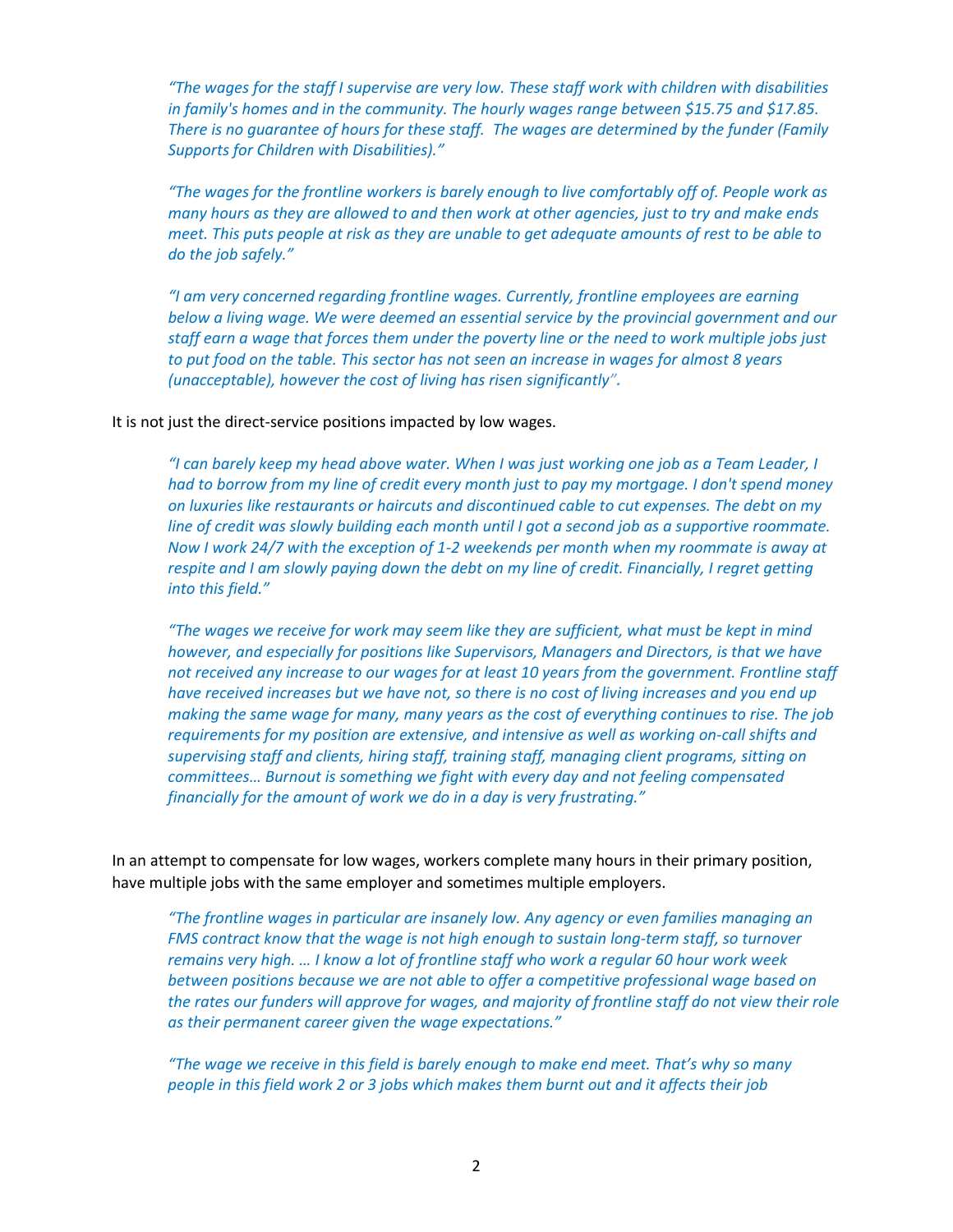*"The wages for the staff I supervise are very low. These staff work with children with disabilities in family's homes and in the community. The hourly wages range between \$15.75 and \$17.85. There is no guarantee of hours for these staff. The wages are determined by the funder (Family Supports for Children with Disabilities)."* 

*"The wages for the frontline workers is barely enough to live comfortably off of. People work as many hours as they are allowed to and then work at other agencies, just to try and make ends meet. This puts people at risk as they are unable to get adequate amounts of rest to be able to do the job safely."*

*"I am very concerned regarding frontline wages. Currently, frontline employees are earning below a living wage. We were deemed an essential service by the provincial government and our staff earn a wage that forces them under the poverty line or the need to work multiple jobs just to put food on the table. This sector has not seen an increase in wages for almost 8 years (unacceptable), however the cost of living has risen significantly".* 

### It is not just the direct-service positions impacted by low wages.

*"I can barely keep my head above water. When I was just working one job as a Team Leader, I had to borrow from my line of credit every month just to pay my mortgage. I don't spend money on luxuries like restaurants or haircuts and discontinued cable to cut expenses. The debt on my line of credit was slowly building each month until I got a second job as a supportive roommate. Now I work 24/7 with the exception of 1-2 weekends per month when my roommate is away at respite and I am slowly paying down the debt on my line of credit. Financially, I regret getting into this field."*

*"The wages we receive for work may seem like they are sufficient, what must be kept in mind however, and especially for positions like Supervisors, Managers and Directors, is that we have not received any increase to our wages for at least 10 years from the government. Frontline staff have received increases but we have not, so there is no cost of living increases and you end up making the same wage for many, many years as the cost of everything continues to rise. The job requirements for my position are extensive, and intensive as well as working on-call shifts and supervising staff and clients, hiring staff, training staff, managing client programs, sitting on committees… Burnout is something we fight with every day and not feeling compensated financially for the amount of work we do in a day is very frustrating."*

In an attempt to compensate for low wages, workers complete many hours in their primary position, have multiple jobs with the same employer and sometimes multiple employers.

*"The frontline wages in particular are insanely low. Any agency or even families managing an FMS contract know that the wage is not high enough to sustain long-term staff, so turnover remains very high. … I know a lot of frontline staff who work a regular 60 hour work week between positions because we are not able to offer a competitive professional wage based on the rates our funders will approve for wages, and majority of frontline staff do not view their role as their permanent career given the wage expectations."*

*"The wage we receive in this field is barely enough to make end meet. That's why so many people in this field work 2 or 3 jobs which makes them burnt out and it affects their job*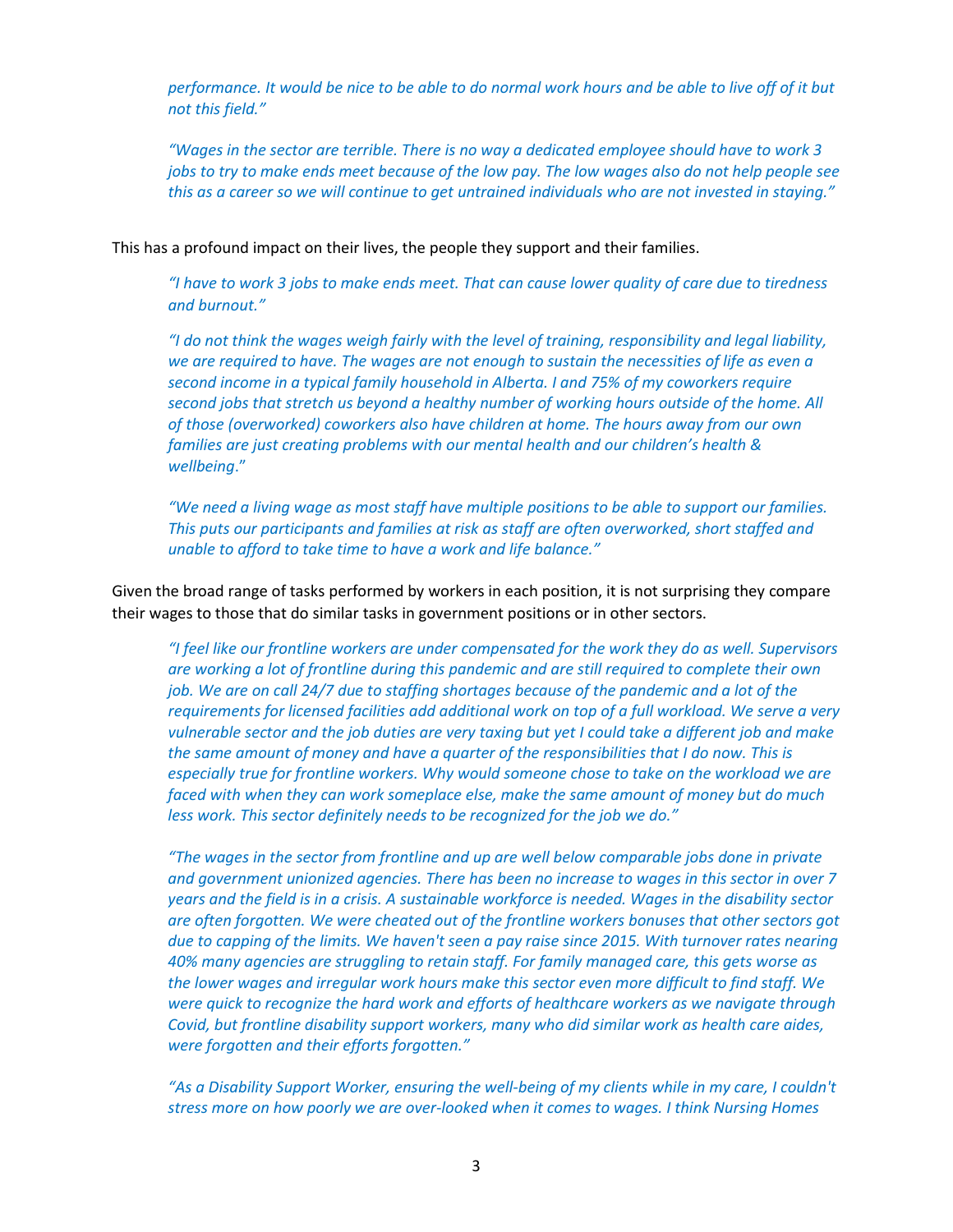*performance. It would be nice to be able to do normal work hours and be able to live off of it but not this field."*

*"Wages in the sector are terrible. There is no way a dedicated employee should have to work 3 jobs to try to make ends meet because of the low pay. The low wages also do not help people see this as a career so we will continue to get untrained individuals who are not invested in staying."*

This has a profound impact on their lives, the people they support and their families.

*"I have to work 3 jobs to make ends meet. That can cause lower quality of care due to tiredness and burnout."*

*"I do not think the wages weigh fairly with the level of training, responsibility and legal liability, we are required to have. The wages are not enough to sustain the necessities of life as even a second income in a typical family household in Alberta. I and 75% of my coworkers require second jobs that stretch us beyond a healthy number of working hours outside of the home. All of those (overworked) coworkers also have children at home. The hours away from our own families are just creating problems with our mental health and our children's health & wellbeing*."

*"We need a living wage as most staff have multiple positions to be able to support our families. This puts our participants and families at risk as staff are often overworked, short staffed and unable to afford to take time to have a work and life balance."*

Given the broad range of tasks performed by workers in each position, it is not surprising they compare their wages to those that do similar tasks in government positions or in other sectors.

*"I feel like our frontline workers are under compensated for the work they do as well. Supervisors are working a lot of frontline during this pandemic and are still required to complete their own job. We are on call 24/7 due to staffing shortages because of the pandemic and a lot of the requirements for licensed facilities add additional work on top of a full workload. We serve a very vulnerable sector and the job duties are very taxing but yet I could take a different job and make the same amount of money and have a quarter of the responsibilities that I do now. This is especially true for frontline workers. Why would someone chose to take on the workload we are faced with when they can work someplace else, make the same amount of money but do much less work. This sector definitely needs to be recognized for the job we do."*

*"The wages in the sector from frontline and up are well below comparable jobs done in private and government unionized agencies. There has been no increase to wages in this sector in over 7 years and the field is in a crisis. A sustainable workforce is needed. Wages in the disability sector are often forgotten. We were cheated out of the frontline workers bonuses that other sectors got due to capping of the limits. We haven't seen a pay raise since 2015. With turnover rates nearing 40% many agencies are struggling to retain staff. For family managed care, this gets worse as the lower wages and irregular work hours make this sector even more difficult to find staff. We were quick to recognize the hard work and efforts of healthcare workers as we navigate through Covid, but frontline disability support workers, many who did similar work as health care aides, were forgotten and their efforts forgotten."*

*"As a Disability Support Worker, ensuring the well-being of my clients while in my care, I couldn't stress more on how poorly we are over-looked when it comes to wages. I think Nursing Homes*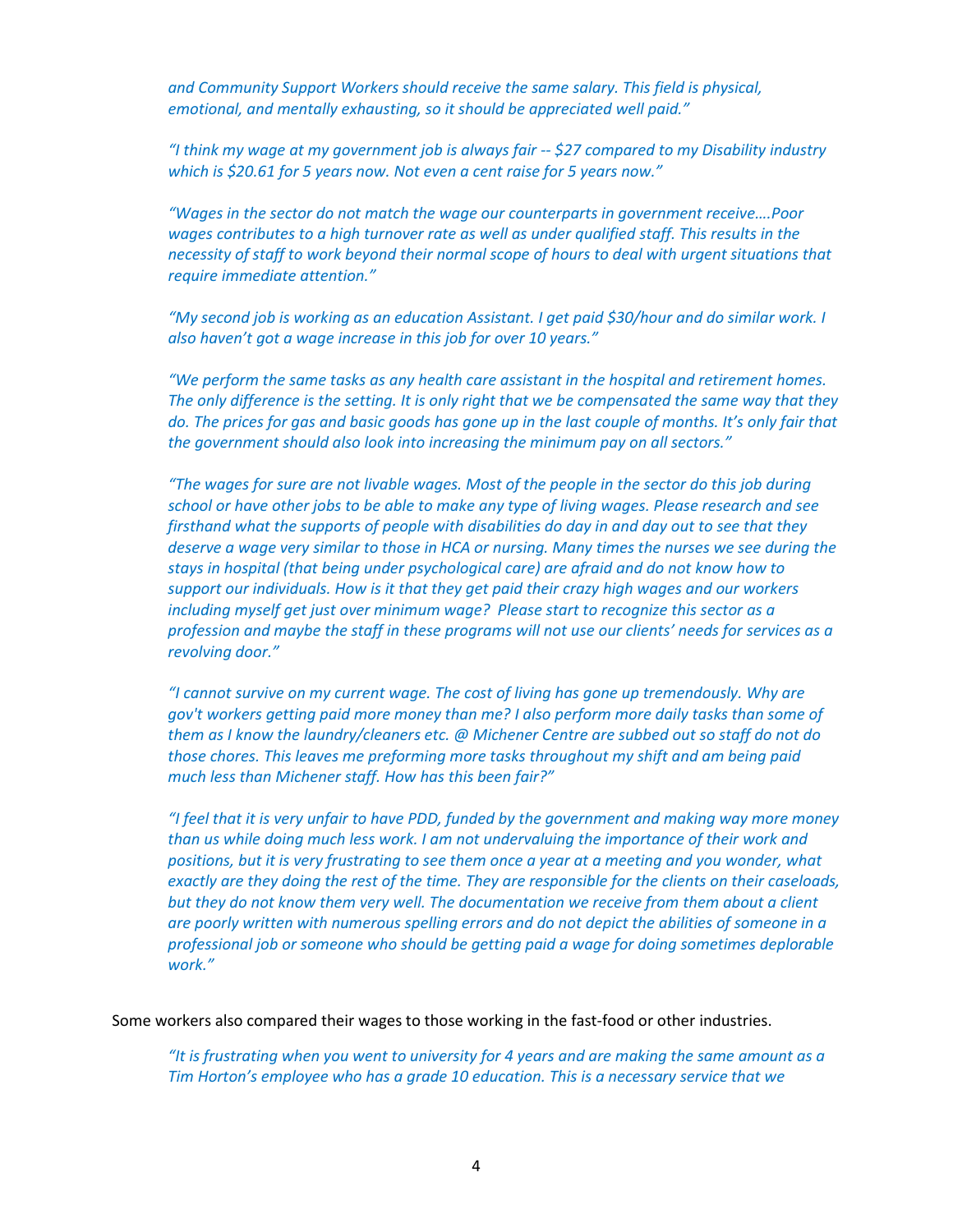*and Community Support Workers should receive the same salary. This field is physical, emotional, and mentally exhausting, so it should be appreciated well paid."*

*"I think my wage at my government job is always fair -- \$27 compared to my Disability industry which is \$20.61 for 5 years now. Not even a cent raise for 5 years now."*

*"Wages in the sector do not match the wage our counterparts in government receive….Poor wages contributes to a high turnover rate as well as under qualified staff. This results in the necessity of staff to work beyond their normal scope of hours to deal with urgent situations that require immediate attention."*

*"My second job is working as an education Assistant. I get paid \$30/hour and do similar work. I also haven't got a wage increase in this job for over 10 years."* 

*"We perform the same tasks as any health care assistant in the hospital and retirement homes. The only difference is the setting. It is only right that we be compensated the same way that they do. The prices for gas and basic goods has gone up in the last couple of months. It's only fair that the government should also look into increasing the minimum pay on all sectors."*

*"The wages for sure are not livable wages. Most of the people in the sector do this job during school or have other jobs to be able to make any type of living wages. Please research and see firsthand what the supports of people with disabilities do day in and day out to see that they deserve a wage very similar to those in HCA or nursing. Many times the nurses we see during the stays in hospital (that being under psychological care) are afraid and do not know how to support our individuals. How is it that they get paid their crazy high wages and our workers including myself get just over minimum wage? Please start to recognize this sector as a profession and maybe the staff in these programs will not use our clients' needs for services as a revolving door."*

*"I cannot survive on my current wage. The cost of living has gone up tremendously. Why are gov't workers getting paid more money than me? I also perform more daily tasks than some of them as I know the laundry/cleaners etc. @ Michener Centre are subbed out so staff do not do those chores. This leaves me preforming more tasks throughout my shift and am being paid much less than Michener staff. How has this been fair?"*

*"I feel that it is very unfair to have PDD, funded by the government and making way more money than us while doing much less work. I am not undervaluing the importance of their work and positions, but it is very frustrating to see them once a year at a meeting and you wonder, what exactly are they doing the rest of the time. They are responsible for the clients on their caseloads, but they do not know them very well. The documentation we receive from them about a client are poorly written with numerous spelling errors and do not depict the abilities of someone in a professional job or someone who should be getting paid a wage for doing sometimes deplorable work."*

Some workers also compared their wages to those working in the fast-food or other industries.

*"It is frustrating when you went to university for 4 years and are making the same amount as a Tim Horton's employee who has a grade 10 education. This is a necessary service that we*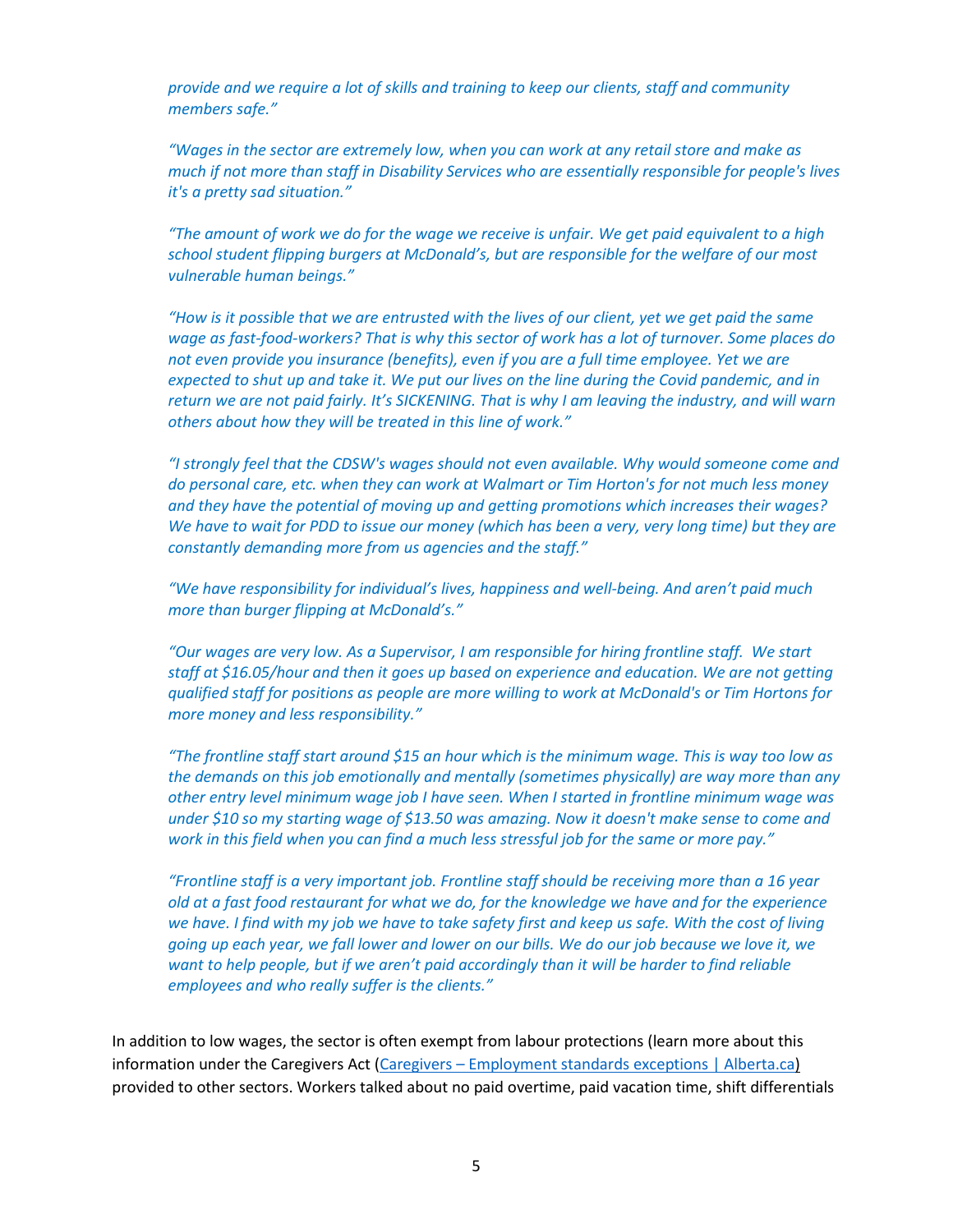*provide and we require a lot of skills and training to keep our clients, staff and community members safe."* 

*"Wages in the sector are extremely low, when you can work at any retail store and make as much if not more than staff in Disability Services who are essentially responsible for people's lives it's a pretty sad situation."* 

*"The amount of work we do for the wage we receive is unfair. We get paid equivalent to a high school student flipping burgers at McDonald's, but are responsible for the welfare of our most vulnerable human beings."* 

*"How is it possible that we are entrusted with the lives of our client, yet we get paid the same wage as fast-food-workers? That is why this sector of work has a lot of turnover. Some places do not even provide you insurance (benefits), even if you are a full time employee. Yet we are expected to shut up and take it. We put our lives on the line during the Covid pandemic, and in return we are not paid fairly. It's SICKENING. That is why I am leaving the industry, and will warn others about how they will be treated in this line of work."* 

*"I strongly feel that the CDSW's wages should not even available. Why would someone come and do personal care, etc. when they can work at Walmart or Tim Horton's for not much less money and they have the potential of moving up and getting promotions which increases their wages? We have to wait for PDD to issue our money (which has been a very, very long time) but they are constantly demanding more from us agencies and the staff."* 

*"We have responsibility for individual's lives, happiness and well-being. And aren't paid much more than burger flipping at McDonald's."* 

*"Our wages are very low. As a Supervisor, I am responsible for hiring frontline staff. We start staff at \$16.05/hour and then it goes up based on experience and education. We are not getting qualified staff for positions as people are more willing to work at McDonald's or Tim Hortons for more money and less responsibility."* 

*"The frontline staff start around \$15 an hour which is the minimum wage. This is way too low as the demands on this job emotionally and mentally (sometimes physically) are way more than any other entry level minimum wage job I have seen. When I started in frontline minimum wage was under \$10 so my starting wage of \$13.50 was amazing. Now it doesn't make sense to come and work in this field when you can find a much less stressful job for the same or more pay."* 

*"Frontline staff is a very important job. Frontline staff should be receiving more than a 16 year old at a fast food restaurant for what we do, for the knowledge we have and for the experience we have. I find with my job we have to take safety first and keep us safe. With the cost of living going up each year, we fall lower and lower on our bills. We do our job because we love it, we want to help people, but if we aren't paid accordingly than it will be harder to find reliable employees and who really suffer is the clients."* 

In addition to low wages, the sector is often exempt from labour protections (learn more about this information under the Caregivers Act [\(Caregivers – Employment standards exceptions | Alberta.ca\)](https://www.alberta.ca/es-exceptions-caregivers.aspx#:%7E:text=Caregivers%20must%20receive%20overtime%3A,hours%20in%20a%20work%20month) provided to other sectors. Workers talked about no paid overtime, paid vacation time, shift differentials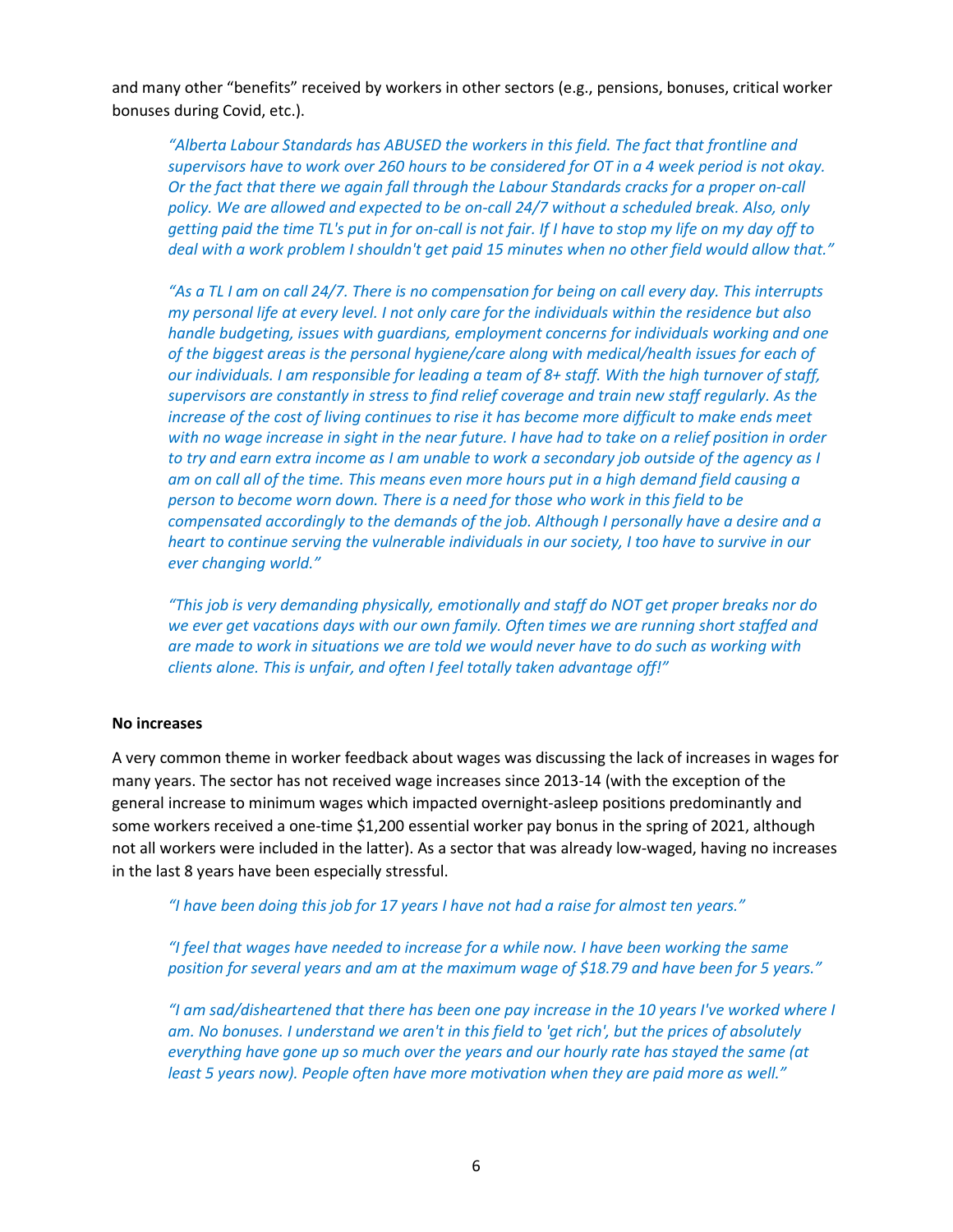and many other "benefits" received by workers in other sectors (e.g., pensions, bonuses, critical worker bonuses during Covid, etc.).

*"Alberta Labour Standards has ABUSED the workers in this field. The fact that frontline and supervisors have to work over 260 hours to be considered for OT in a 4 week period is not okay. Or the fact that there we again fall through the Labour Standards cracks for a proper on-call*  policy. We are allowed and expected to be on-call 24/7 without a scheduled break. Also, only *getting paid the time TL's put in for on-call is not fair. If I have to stop my life on my day off to deal with a work problem I shouldn't get paid 15 minutes when no other field would allow that."*

*"As a TL I am on call 24/7. There is no compensation for being on call every day. This interrupts my personal life at every level. I not only care for the individuals within the residence but also handle budgeting, issues with guardians, employment concerns for individuals working and one of the biggest areas is the personal hygiene/care along with medical/health issues for each of our individuals. I am responsible for leading a team of 8+ staff. With the high turnover of staff, supervisors are constantly in stress to find relief coverage and train new staff regularly. As the increase of the cost of living continues to rise it has become more difficult to make ends meet with no wage increase in sight in the near future. I have had to take on a relief position in order to try and earn extra income as I am unable to work a secondary job outside of the agency as I am on call all of the time. This means even more hours put in a high demand field causing a person to become worn down. There is a need for those who work in this field to be compensated accordingly to the demands of the job. Although I personally have a desire and a heart to continue serving the vulnerable individuals in our society, I too have to survive in our ever changing world."* 

*"This job is very demanding physically, emotionally and staff do NOT get proper breaks nor do we ever get vacations days with our own family. Often times we are running short staffed and are made to work in situations we are told we would never have to do such as working with clients alone. This is unfair, and often I feel totally taken advantage off!"*

#### **No increases**

A very common theme in worker feedback about wages was discussing the lack of increases in wages for many years. The sector has not received wage increases since 2013-14 (with the exception of the general increase to minimum wages which impacted overnight-asleep positions predominantly and some workers received a one-time \$1,200 essential worker pay bonus in the spring of 2021, although not all workers were included in the latter). As a sector that was already low-waged, having no increases in the last 8 years have been especially stressful.

*"I have been doing this job for 17 years I have not had a raise for almost ten years."*

*"I feel that wages have needed to increase for a while now. I have been working the same position for several years and am at the maximum wage of \$18.79 and have been for 5 years."*

*"I am sad/disheartened that there has been one pay increase in the 10 years I've worked where I am. No bonuses. I understand we aren't in this field to 'get rich', but the prices of absolutely everything have gone up so much over the years and our hourly rate has stayed the same (at least 5 years now). People often have more motivation when they are paid more as well."*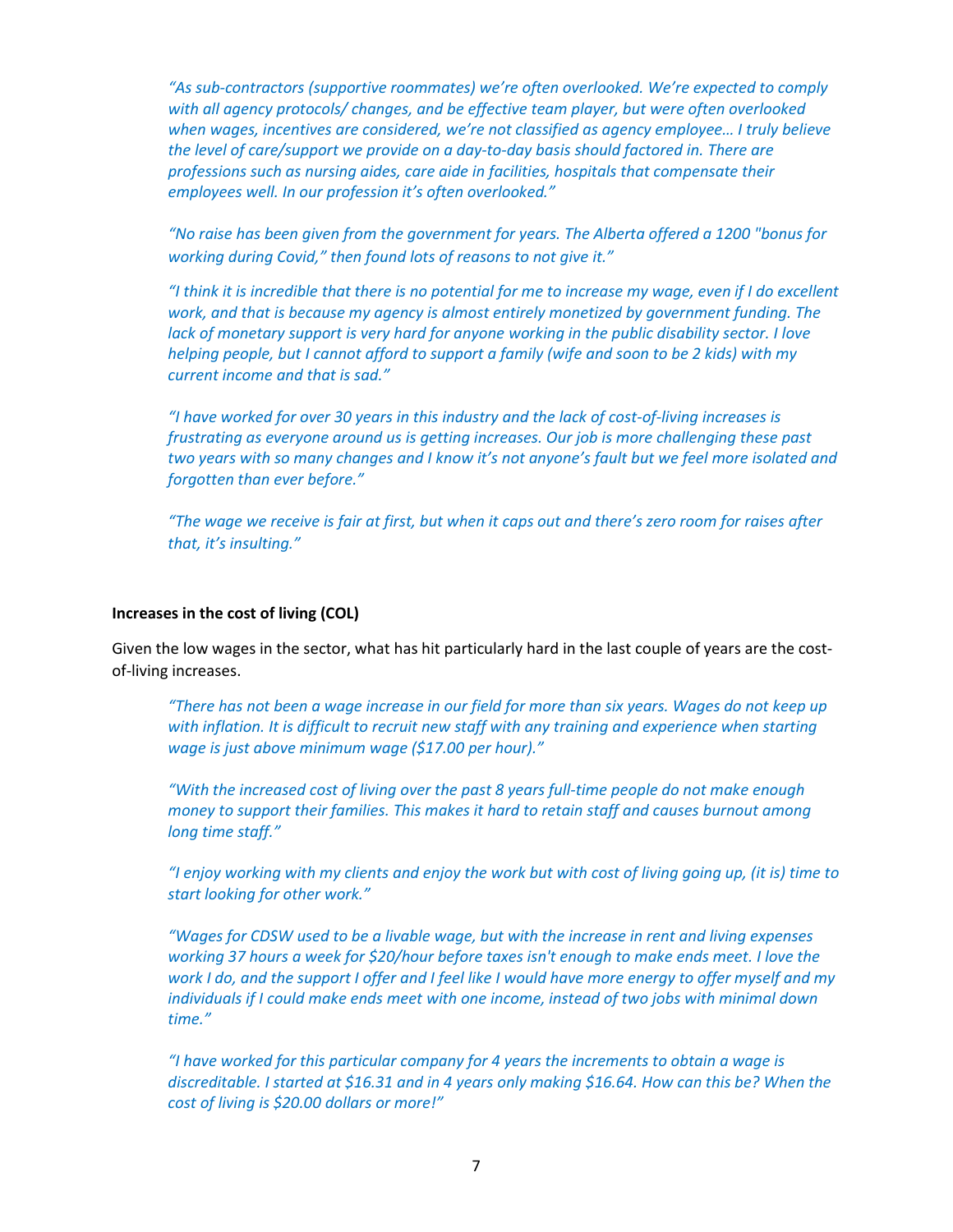*"As sub-contractors (supportive roommates) we're often overlooked. We're expected to comply with all agency protocols/ changes, and be effective team player, but were often overlooked when wages, incentives are considered, we're not classified as agency employee… I truly believe the level of care/support we provide on a day-to-day basis should factored in. There are professions such as nursing aides, care aide in facilities, hospitals that compensate their employees well. In our profession it's often overlooked."*

*"No raise has been given from the government for years. The Alberta offered a 1200 "bonus for working during Covid," then found lots of reasons to not give it."*

*"I think it is incredible that there is no potential for me to increase my wage, even if I do excellent work, and that is because my agency is almost entirely monetized by government funding. The lack of monetary support is very hard for anyone working in the public disability sector. I love helping people, but I cannot afford to support a family (wife and soon to be 2 kids) with my current income and that is sad."*

*"I have worked for over 30 years in this industry and the lack of cost-of-living increases is frustrating as everyone around us is getting increases. Our job is more challenging these past two years with so many changes and I know it's not anyone's fault but we feel more isolated and forgotten than ever before."*

*"The wage we receive is fair at first, but when it caps out and there's zero room for raises after that, it's insulting."*

#### **Increases in the cost of living (COL)**

Given the low wages in the sector, what has hit particularly hard in the last couple of years are the costof-living increases.

*"There has not been a wage increase in our field for more than six years. Wages do not keep up*  with inflation. It is difficult to recruit new staff with any training and experience when starting *wage is just above minimum wage (\$17.00 per hour)."*

*"With the increased cost of living over the past 8 years full-time people do not make enough money to support their families. This makes it hard to retain staff and causes burnout among long time staff."* 

*"I enjoy working with my clients and enjoy the work but with cost of living going up, (it is) time to start looking for other work."*

*"Wages for CDSW used to be a livable wage, but with the increase in rent and living expenses working 37 hours a week for \$20/hour before taxes isn't enough to make ends meet. I love the work I do, and the support I offer and I feel like I would have more energy to offer myself and my individuals if I could make ends meet with one income, instead of two jobs with minimal down time."*

*"I have worked for this particular company for 4 years the increments to obtain a wage is discreditable. I started at \$16.31 and in 4 years only making \$16.64. How can this be? When the cost of living is \$20.00 dollars or more!"*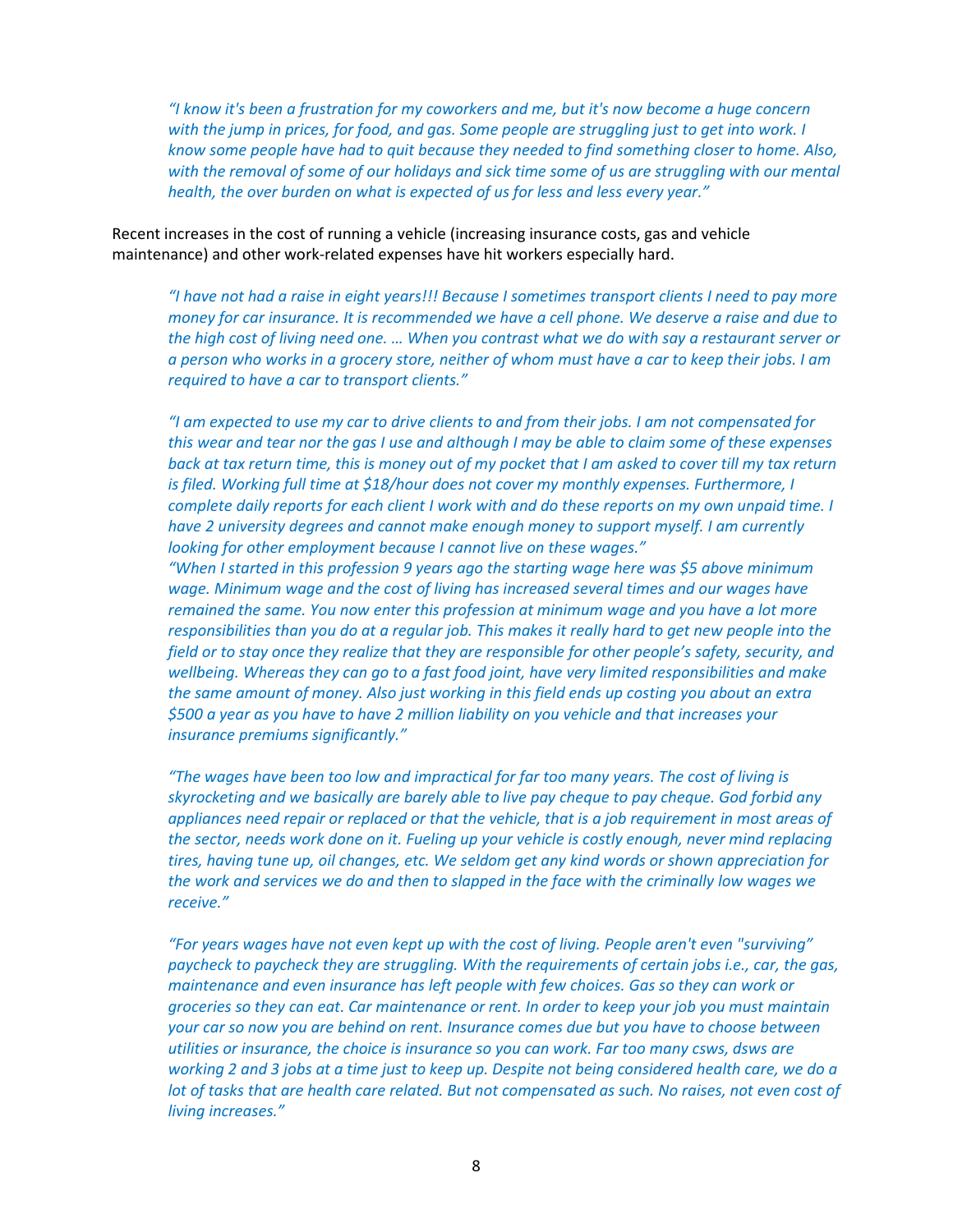*"I know it's been a frustration for my coworkers and me, but it's now become a huge concern with the jump in prices, for food, and gas. Some people are struggling just to get into work. I know some people have had to quit because they needed to find something closer to home. Also,* with the removal of some of our holidays and sick time some of us are struggling with our mental *health, the over burden on what is expected of us for less and less every year."*

Recent increases in the cost of running a vehicle (increasing insurance costs, gas and vehicle maintenance) and other work-related expenses have hit workers especially hard.

*"I have not had a raise in eight years!!! Because I sometimes transport clients I need to pay more money for car insurance. It is recommended we have a cell phone. We deserve a raise and due to the high cost of living need one. … When you contrast what we do with say a restaurant server or a person who works in a grocery store, neither of whom must have a car to keep their jobs. I am required to have a car to transport clients."*

*"I am expected to use my car to drive clients to and from their jobs. I am not compensated for this wear and tear nor the gas I use and although I may be able to claim some of these expenses back at tax return time, this is money out of my pocket that I am asked to cover till my tax return is filed. Working full time at \$18/hour does not cover my monthly expenses. Furthermore, I complete daily reports for each client I work with and do these reports on my own unpaid time. I have 2 university degrees and cannot make enough money to support myself. I am currently looking for other employment because I cannot live on these wages."*

*"When I started in this profession 9 years ago the starting wage here was \$5 above minimum wage. Minimum wage and the cost of living has increased several times and our wages have remained the same. You now enter this profession at minimum wage and you have a lot more responsibilities than you do at a regular job. This makes it really hard to get new people into the field or to stay once they realize that they are responsible for other people's safety, security, and wellbeing. Whereas they can go to a fast food joint, have very limited responsibilities and make the same amount of money. Also just working in this field ends up costing you about an extra \$500 a year as you have to have 2 million liability on you vehicle and that increases your insurance premiums significantly."*

*"The wages have been too low and impractical for far too many years. The cost of living is skyrocketing and we basically are barely able to live pay cheque to pay cheque. God forbid any appliances need repair or replaced or that the vehicle, that is a job requirement in most areas of the sector, needs work done on it. Fueling up your vehicle is costly enough, never mind replacing tires, having tune up, oil changes, etc. We seldom get any kind words or shown appreciation for the work and services we do and then to slapped in the face with the criminally low wages we receive."*

*"For years wages have not even kept up with the cost of living. People aren't even "surviving" paycheck to paycheck they are struggling. With the requirements of certain jobs i.e., car, the gas, maintenance and even insurance has left people with few choices. Gas so they can work or groceries so they can eat. Car maintenance or rent. In order to keep your job you must maintain your car so now you are behind on rent. Insurance comes due but you have to choose between utilities or insurance, the choice is insurance so you can work. Far too many csws, dsws are working 2 and 3 jobs at a time just to keep up. Despite not being considered health care, we do a lot of tasks that are health care related. But not compensated as such. No raises, not even cost of living increases."*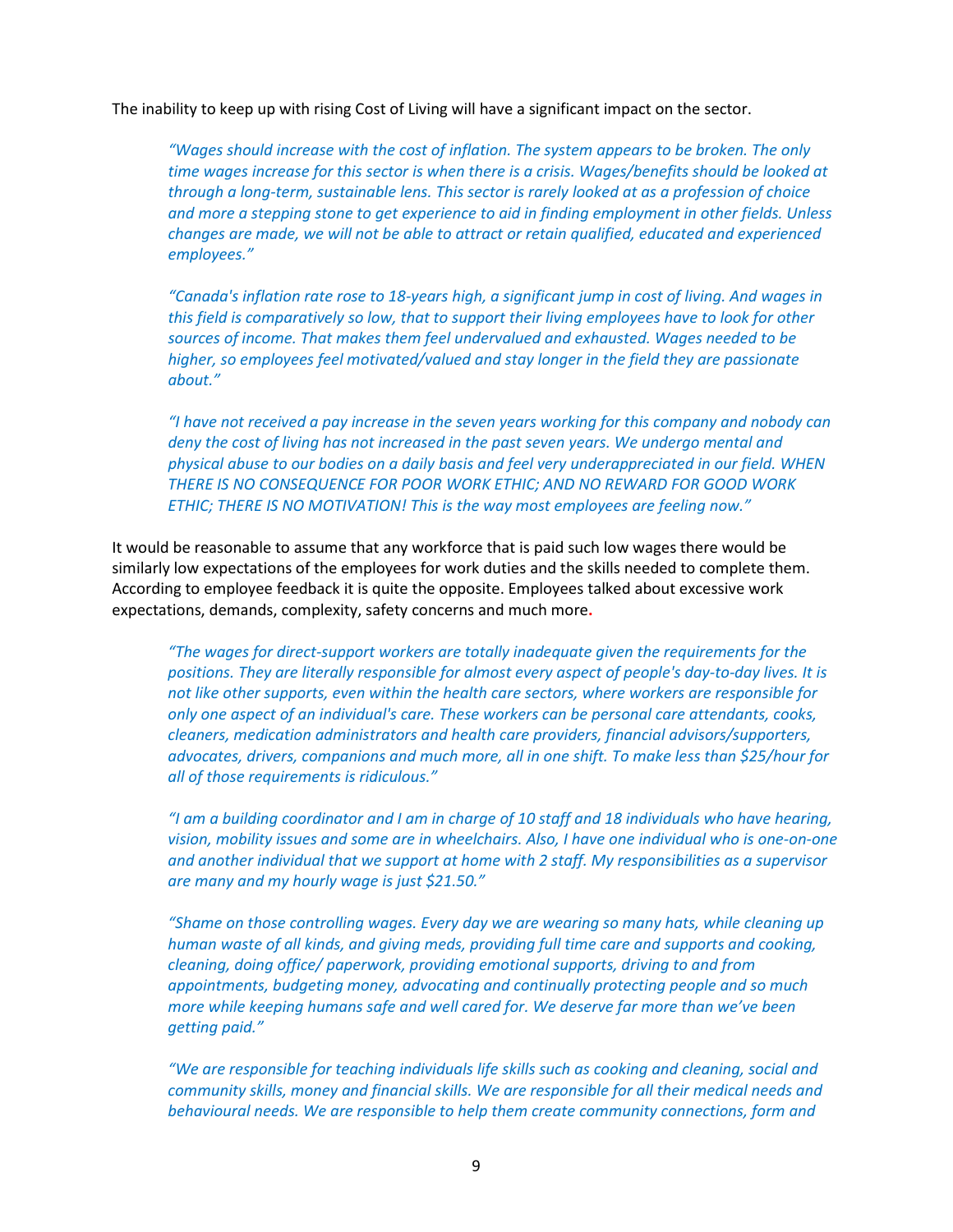The inability to keep up with rising Cost of Living will have a significant impact on the sector.

*"Wages should increase with the cost of inflation. The system appears to be broken. The only time wages increase for this sector is when there is a crisis. Wages/benefits should be looked at through a long-term, sustainable lens. This sector is rarely looked at as a profession of choice and more a stepping stone to get experience to aid in finding employment in other fields. Unless changes are made, we will not be able to attract or retain qualified, educated and experienced employees."*

*"Canada's inflation rate rose to 18-years high, a significant jump in cost of living. And wages in this field is comparatively so low, that to support their living employees have to look for other sources of income. That makes them feel undervalued and exhausted. Wages needed to be higher, so employees feel motivated/valued and stay longer in the field they are passionate about."*

*"I have not received a pay increase in the seven years working for this company and nobody can deny the cost of living has not increased in the past seven years. We undergo mental and physical abuse to our bodies on a daily basis and feel very underappreciated in our field. WHEN THERE IS NO CONSEQUENCE FOR POOR WORK ETHIC; AND NO REWARD FOR GOOD WORK ETHIC; THERE IS NO MOTIVATION! This is the way most employees are feeling now."*

It would be reasonable to assume that any workforce that is paid such low wages there would be similarly low expectations of the employees for work duties and the skills needed to complete them. According to employee feedback it is quite the opposite. Employees talked about excessive work expectations, demands, complexity, safety concerns and much more**.** 

*"The wages for direct-support workers are totally inadequate given the requirements for the positions. They are literally responsible for almost every aspect of people's day-to-day lives. It is not like other supports, even within the health care sectors, where workers are responsible for only one aspect of an individual's care. These workers can be personal care attendants, cooks, cleaners, medication administrators and health care providers, financial advisors/supporters, advocates, drivers, companions and much more, all in one shift. To make less than \$25/hour for all of those requirements is ridiculous."*

*"I am a building coordinator and I am in charge of 10 staff and 18 individuals who have hearing, vision, mobility issues and some are in wheelchairs. Also, I have one individual who is one-on-one and another individual that we support at home with 2 staff. My responsibilities as a supervisor are many and my hourly wage is just \$21.50."*

*"Shame on those controlling wages. Every day we are wearing so many hats, while cleaning up human waste of all kinds, and giving meds, providing full time care and supports and cooking, cleaning, doing office/ paperwork, providing emotional supports, driving to and from appointments, budgeting money, advocating and continually protecting people and so much more while keeping humans safe and well cared for. We deserve far more than we've been getting paid."* 

*"We are responsible for teaching individuals life skills such as cooking and cleaning, social and community skills, money and financial skills. We are responsible for all their medical needs and behavioural needs. We are responsible to help them create community connections, form and*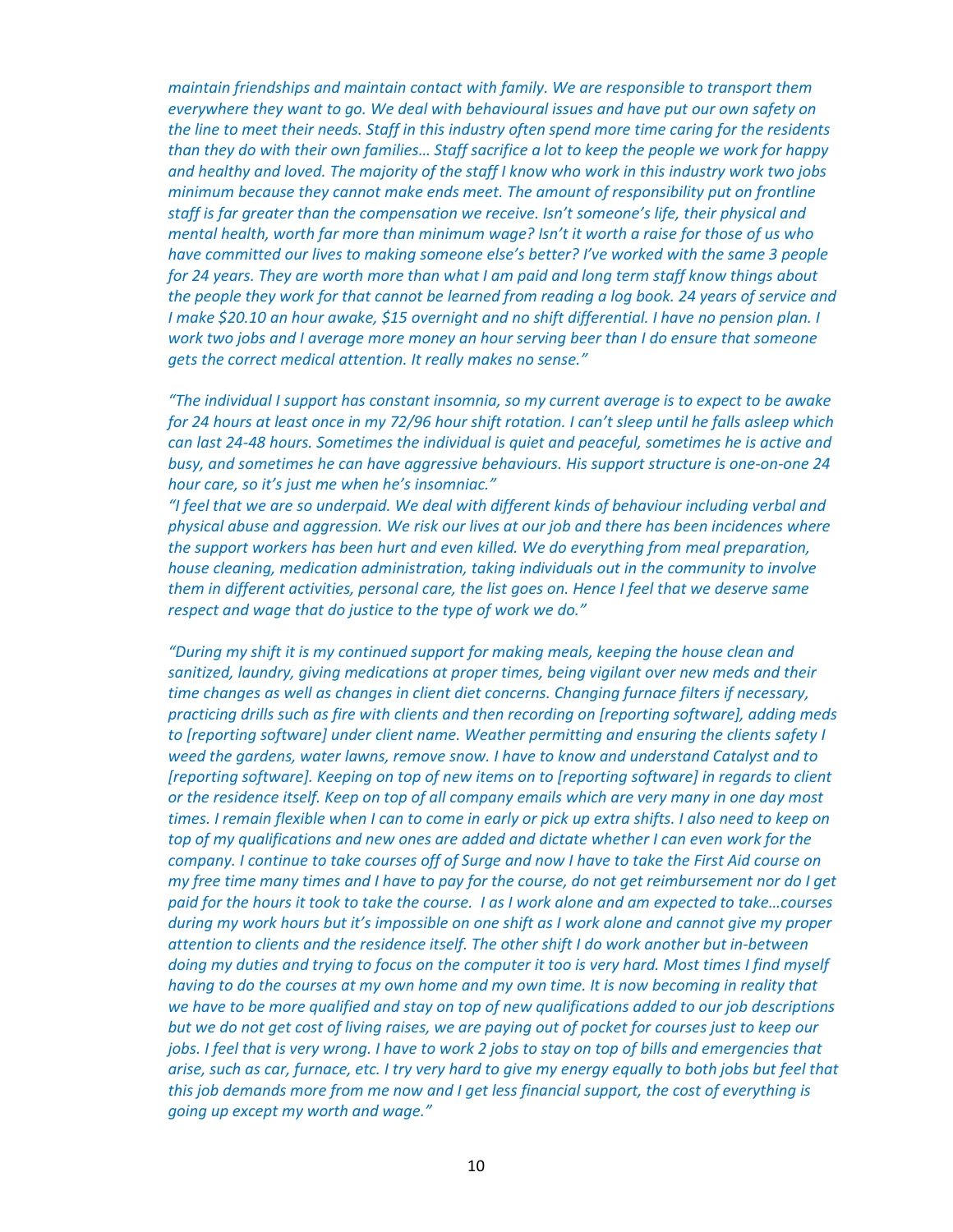*maintain friendships and maintain contact with family. We are responsible to transport them everywhere they want to go. We deal with behavioural issues and have put our own safety on the line to meet their needs. Staff in this industry often spend more time caring for the residents than they do with their own families… Staff sacrifice a lot to keep the people we work for happy and healthy and loved. The majority of the staff I know who work in this industry work two jobs minimum because they cannot make ends meet. The amount of responsibility put on frontline staff is far greater than the compensation we receive. Isn't someone's life, their physical and mental health, worth far more than minimum wage? Isn't it worth a raise for those of us who have committed our lives to making someone else's better? I've worked with the same 3 people for 24 years. They are worth more than what I am paid and long term staff know things about the people they work for that cannot be learned from reading a log book. 24 years of service and I make \$20.10 an hour awake, \$15 overnight and no shift differential. I have no pension plan. I work two jobs and I average more money an hour serving beer than I do ensure that someone gets the correct medical attention. It really makes no sense."*

*"The individual I support has constant insomnia, so my current average is to expect to be awake for 24 hours at least once in my 72/96 hour shift rotation. I can't sleep until he falls asleep which can last 24-48 hours. Sometimes the individual is quiet and peaceful, sometimes he is active and busy, and sometimes he can have aggressive behaviours. His support structure is one-on-one 24 hour care, so it's just me when he's insomniac."*

*"I feel that we are so underpaid. We deal with different kinds of behaviour including verbal and physical abuse and aggression. We risk our lives at our job and there has been incidences where the support workers has been hurt and even killed. We do everything from meal preparation, house cleaning, medication administration, taking individuals out in the community to involve them in different activities, personal care, the list goes on. Hence I feel that we deserve same respect and wage that do justice to the type of work we do."*

*"During my shift it is my continued support for making meals, keeping the house clean and sanitized, laundry, giving medications at proper times, being vigilant over new meds and their time changes as well as changes in client diet concerns. Changing furnace filters if necessary, practicing drills such as fire with clients and then recording on [reporting software], adding meds to [reporting software] under client name. Weather permitting and ensuring the clients safety I weed the gardens, water lawns, remove snow. I have to know and understand Catalyst and to [reporting software]. Keeping on top of new items on to [reporting software] in regards to client or the residence itself. Keep on top of all company emails which are very many in one day most times. I remain flexible when I can to come in early or pick up extra shifts. I also need to keep on top of my qualifications and new ones are added and dictate whether I can even work for the company. I continue to take courses off of Surge and now I have to take the First Aid course on my free time many times and I have to pay for the course, do not get reimbursement nor do I get paid for the hours it took to take the course. I as I work alone and am expected to take…courses during my work hours but it's impossible on one shift as I work alone and cannot give my proper attention to clients and the residence itself. The other shift I do work another but in-between doing my duties and trying to focus on the computer it too is very hard. Most times I find myself*  having to do the courses at my own home and my own time. It is now becoming in reality that *we have to be more qualified and stay on top of new qualifications added to our job descriptions but we do not get cost of living raises, we are paying out of pocket for courses just to keep our jobs. I feel that is very wrong. I have to work 2 jobs to stay on top of bills and emergencies that arise, such as car, furnace, etc. I try very hard to give my energy equally to both jobs but feel that this job demands more from me now and I get less financial support, the cost of everything is going up except my worth and wage."*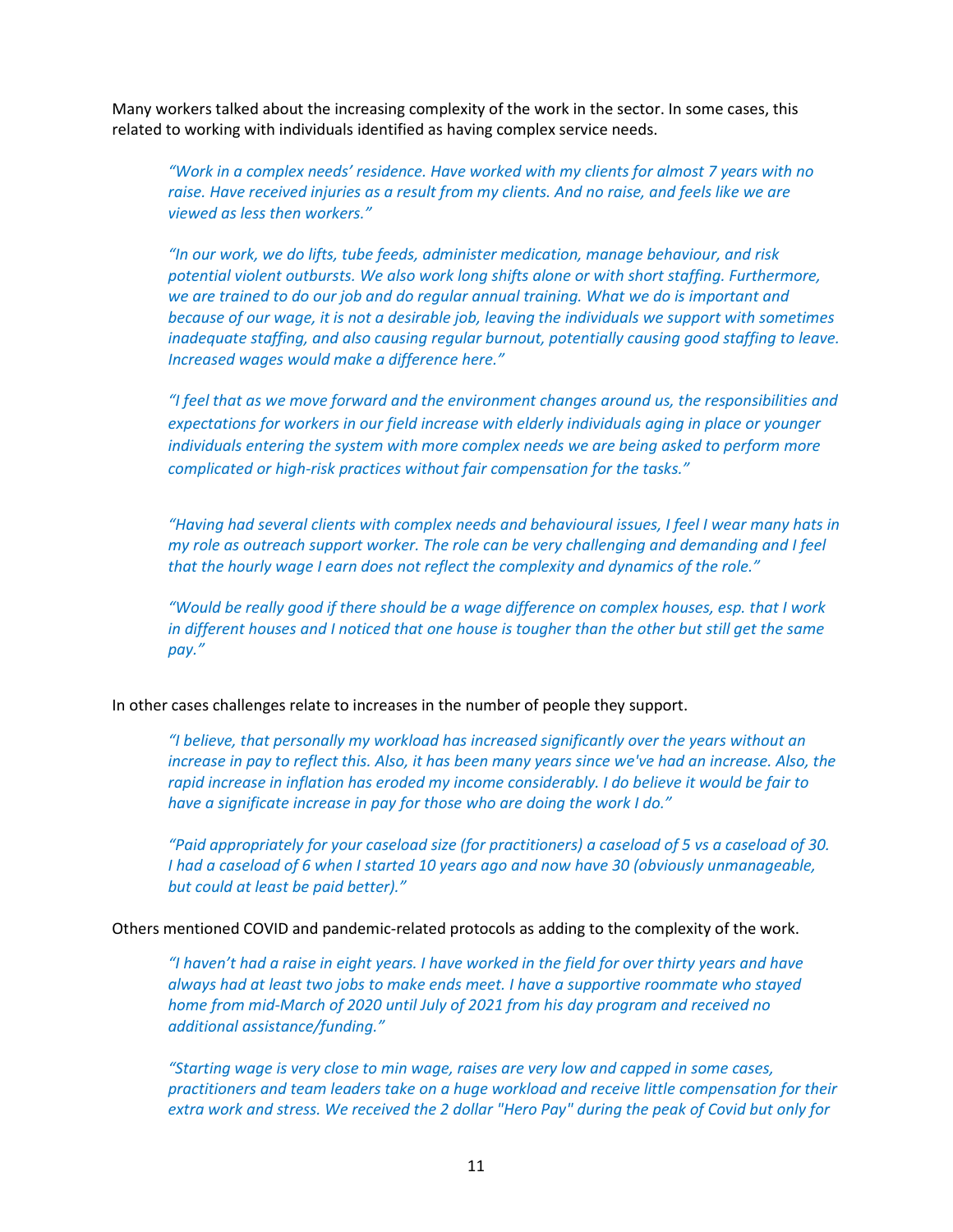Many workers talked about the increasing complexity of the work in the sector. In some cases, this related to working with individuals identified as having complex service needs.

*"Work in a complex needs' residence. Have worked with my clients for almost 7 years with no raise. Have received injuries as a result from my clients. And no raise, and feels like we are viewed as less then workers."* 

*"In our work, we do lifts, tube feeds, administer medication, manage behaviour, and risk potential violent outbursts. We also work long shifts alone or with short staffing. Furthermore, we are trained to do our job and do regular annual training. What we do is important and because of our wage, it is not a desirable job, leaving the individuals we support with sometimes inadequate staffing, and also causing regular burnout, potentially causing good staffing to leave. Increased wages would make a difference here."*

*"I feel that as we move forward and the environment changes around us, the responsibilities and expectations for workers in our field increase with elderly individuals aging in place or younger individuals entering the system with more complex needs we are being asked to perform more complicated or high-risk practices without fair compensation for the tasks."*

*"Having had several clients with complex needs and behavioural issues, I feel I wear many hats in my role as outreach support worker. The role can be very challenging and demanding and I feel that the hourly wage I earn does not reflect the complexity and dynamics of the role."*

*"Would be really good if there should be a wage difference on complex houses, esp. that I work in different houses and I noticed that one house is tougher than the other but still get the same pay."*

In other cases challenges relate to increases in the number of people they support.

*"I believe, that personally my workload has increased significantly over the years without an increase in pay to reflect this. Also, it has been many years since we've had an increase. Also, the rapid increase in inflation has eroded my income considerably. I do believe it would be fair to have a significate increase in pay for those who are doing the work I do."*

*"Paid appropriately for your caseload size (for practitioners) a caseload of 5 vs a caseload of 30. I had a caseload of 6 when I started 10 years ago and now have 30 (obviously unmanageable, but could at least be paid better)."*

Others mentioned COVID and pandemic-related protocols as adding to the complexity of the work.

*"I haven't had a raise in eight years. I have worked in the field for over thirty years and have always had at least two jobs to make ends meet. I have a supportive roommate who stayed home from mid-March of 2020 until July of 2021 from his day program and received no additional assistance/funding."*

*"Starting wage is very close to min wage, raises are very low and capped in some cases, practitioners and team leaders take on a huge workload and receive little compensation for their extra work and stress. We received the 2 dollar "Hero Pay" during the peak of Covid but only for*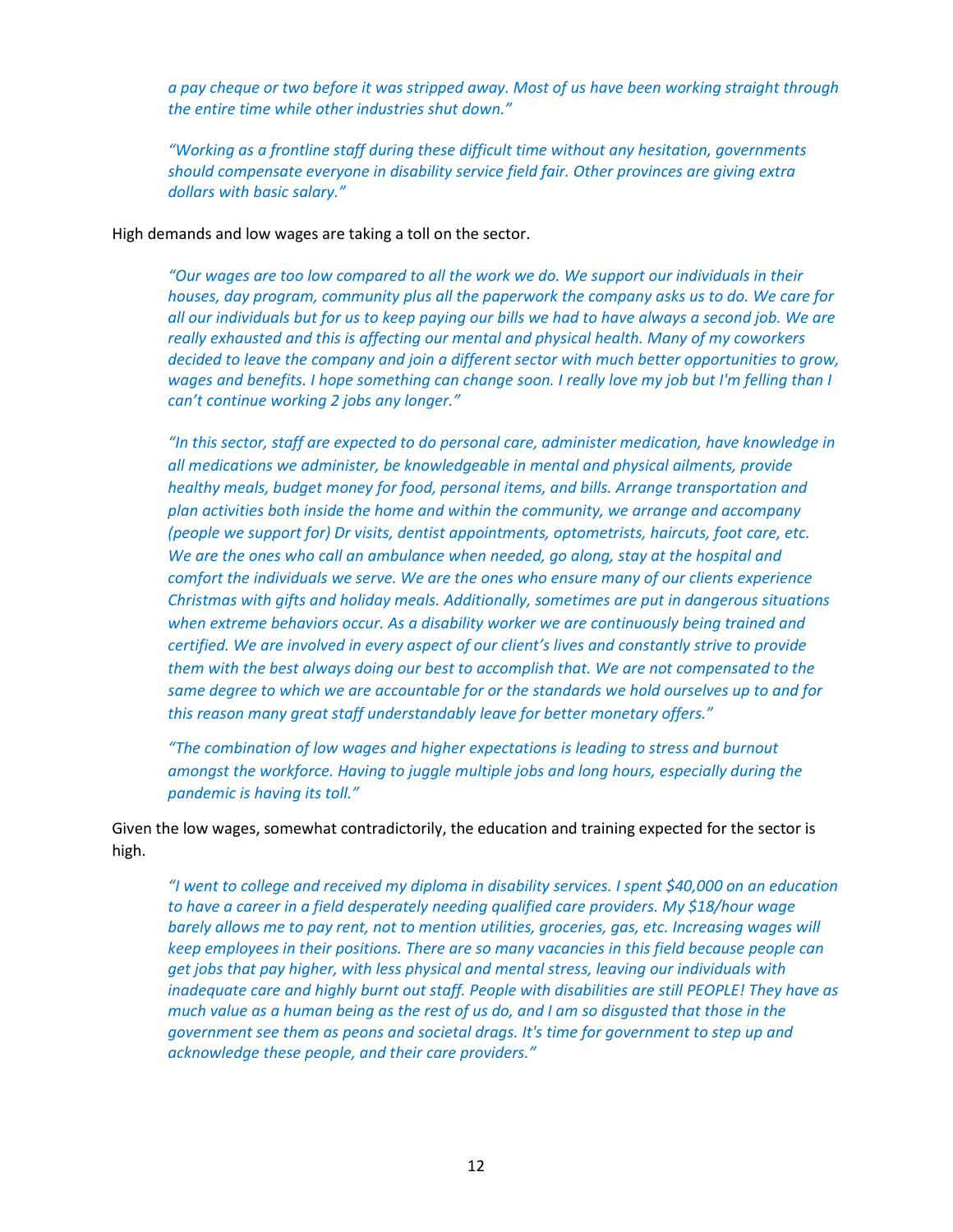*a pay cheque or two before it was stripped away. Most of us have been working straight through the entire time while other industries shut down."*

*"Working as a frontline staff during these difficult time without any hesitation, governments should compensate everyone in disability service field fair. Other provinces are giving extra dollars with basic salary."*

High demands and low wages are taking a toll on the sector.

*"Our wages are too low compared to all the work we do. We support our individuals in their houses, day program, community plus all the paperwork the company asks us to do. We care for all our individuals but for us to keep paying our bills we had to have always a second job. We are really exhausted and this is affecting our mental and physical health. Many of my coworkers decided to leave the company and join a different sector with much better opportunities to grow, wages and benefits. I hope something can change soon. I really love my job but I'm felling than I can't continue working 2 jobs any longer."*

*"In this sector, staff are expected to do personal care, administer medication, have knowledge in all medications we administer, be knowledgeable in mental and physical ailments, provide healthy meals, budget money for food, personal items, and bills. Arrange transportation and plan activities both inside the home and within the community, we arrange and accompany (people we support for) Dr visits, dentist appointments, optometrists, haircuts, foot care, etc. We are the ones who call an ambulance when needed, go along, stay at the hospital and comfort the individuals we serve. We are the ones who ensure many of our clients experience Christmas with gifts and holiday meals. Additionally, sometimes are put in dangerous situations when extreme behaviors occur. As a disability worker we are continuously being trained and certified. We are involved in every aspect of our client's lives and constantly strive to provide them with the best always doing our best to accomplish that. We are not compensated to the same degree to which we are accountable for or the standards we hold ourselves up to and for this reason many great staff understandably leave for better monetary offers."*

*"The combination of low wages and higher expectations is leading to stress and burnout amongst the workforce. Having to juggle multiple jobs and long hours, especially during the pandemic is having its toll."*

Given the low wages, somewhat contradictorily, the education and training expected for the sector is high.

*"I went to college and received my diploma in disability services. I spent \$40,000 on an education to have a career in a field desperately needing qualified care providers. My \$18/hour wage barely allows me to pay rent, not to mention utilities, groceries, gas, etc. Increasing wages will keep employees in their positions. There are so many vacancies in this field because people can get jobs that pay higher, with less physical and mental stress, leaving our individuals with inadequate care and highly burnt out staff. People with disabilities are still PEOPLE! They have as much value as a human being as the rest of us do, and I am so disgusted that those in the government see them as peons and societal drags. It's time for government to step up and acknowledge these people, and their care providers."*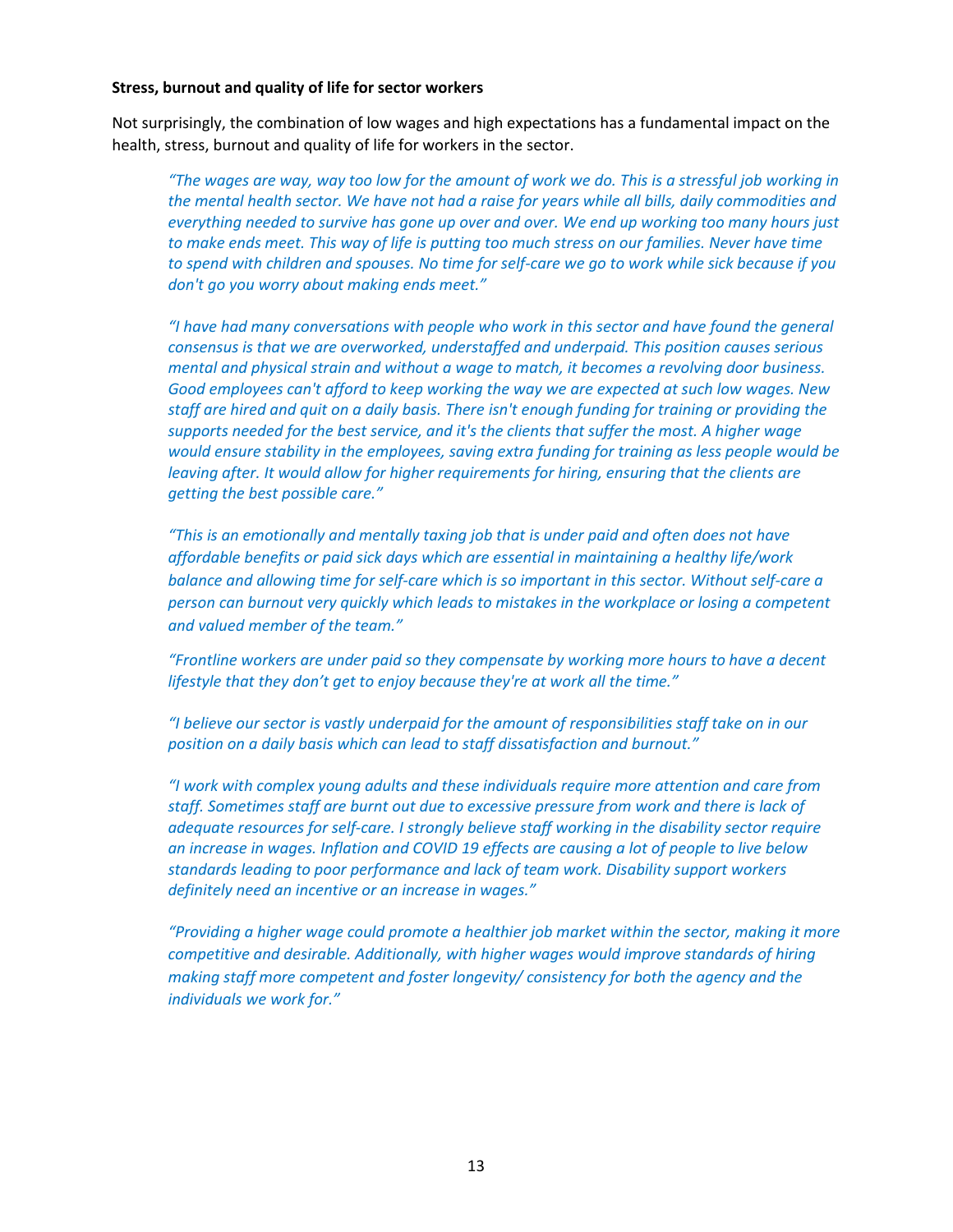#### **Stress, burnout and quality of life for sector workers**

Not surprisingly, the combination of low wages and high expectations has a fundamental impact on the health, stress, burnout and quality of life for workers in the sector.

*"The wages are way, way too low for the amount of work we do. This is a stressful job working in the mental health sector. We have not had a raise for years while all bills, daily commodities and everything needed to survive has gone up over and over. We end up working too many hours just*  to make ends meet. This way of life is putting too much stress on our families. Never have time *to spend with children and spouses. No time for self-care we go to work while sick because if you don't go you worry about making ends meet."*

*"I have had many conversations with people who work in this sector and have found the general consensus is that we are overworked, understaffed and underpaid. This position causes serious mental and physical strain and without a wage to match, it becomes a revolving door business. Good employees can't afford to keep working the way we are expected at such low wages. New staff are hired and quit on a daily basis. There isn't enough funding for training or providing the supports needed for the best service, and it's the clients that suffer the most. A higher wage would ensure stability in the employees, saving extra funding for training as less people would be leaving after. It would allow for higher requirements for hiring, ensuring that the clients are getting the best possible care."*

*"This is an emotionally and mentally taxing job that is under paid and often does not have affordable benefits or paid sick days which are essential in maintaining a healthy life/work balance and allowing time for self-care which is so important in this sector. Without self-care a person can burnout very quickly which leads to mistakes in the workplace or losing a competent and valued member of the team."*

*"Frontline workers are under paid so they compensate by working more hours to have a decent lifestyle that they don't get to enjoy because they're at work all the time."*

*"I believe our sector is vastly underpaid for the amount of responsibilities staff take on in our position on a daily basis which can lead to staff dissatisfaction and burnout."*

*"I work with complex young adults and these individuals require more attention and care from staff. Sometimes staff are burnt out due to excessive pressure from work and there is lack of adequate resources for self-care. I strongly believe staff working in the disability sector require an increase in wages. Inflation and COVID 19 effects are causing a lot of people to live below standards leading to poor performance and lack of team work. Disability support workers definitely need an incentive or an increase in wages."*

*"Providing a higher wage could promote a healthier job market within the sector, making it more competitive and desirable. Additionally, with higher wages would improve standards of hiring making staff more competent and foster longevity/ consistency for both the agency and the individuals we work for."*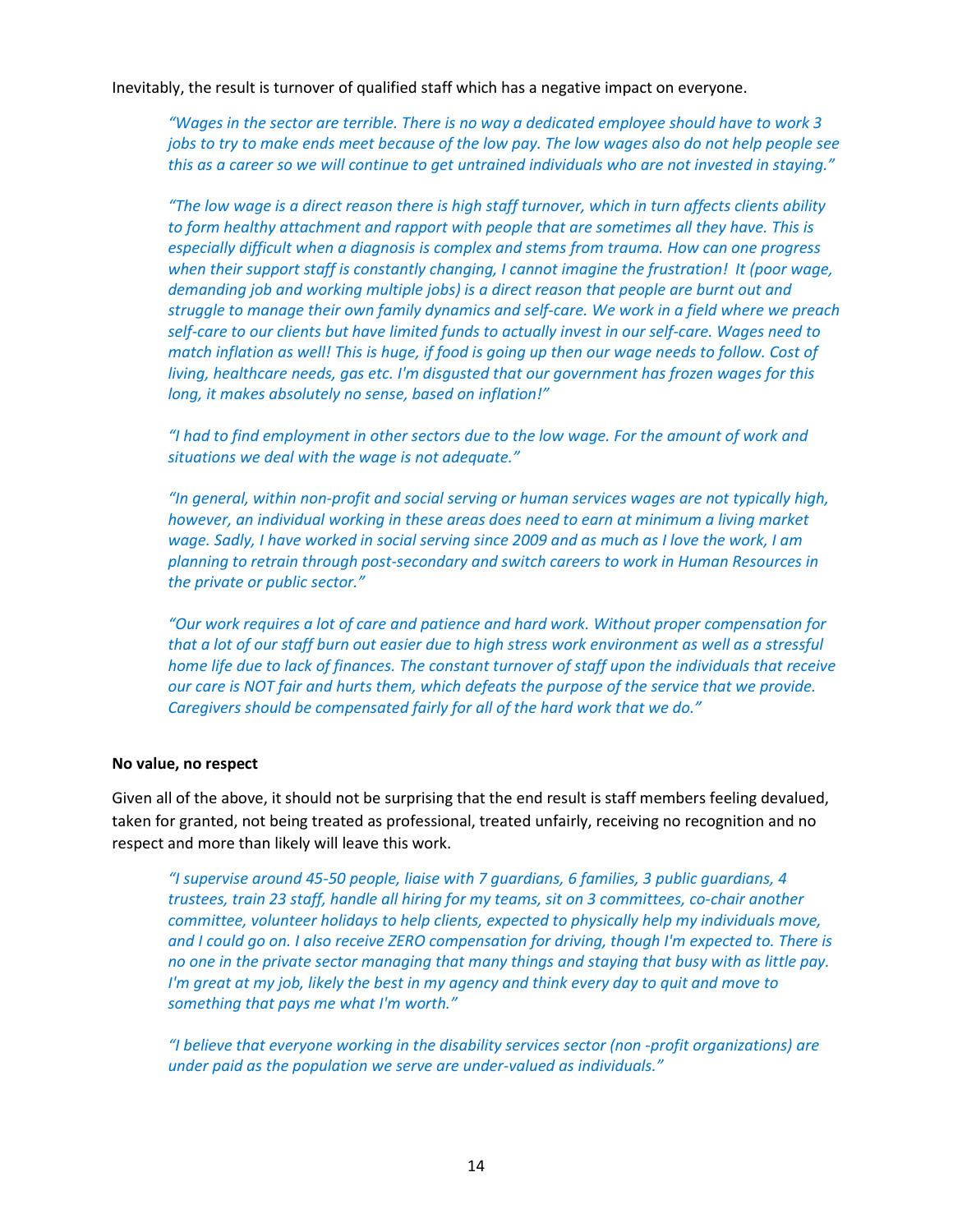Inevitably, the result is turnover of qualified staff which has a negative impact on everyone.

*"Wages in the sector are terrible. There is no way a dedicated employee should have to work 3 jobs to try to make ends meet because of the low pay. The low wages also do not help people see this as a career so we will continue to get untrained individuals who are not invested in staying."*

*"The low wage is a direct reason there is high staff turnover, which in turn affects clients ability*  to form healthy attachment and rapport with people that are sometimes all they have. This is *especially difficult when a diagnosis is complex and stems from trauma. How can one progress when their support staff is constantly changing, I cannot imagine the frustration! It (poor wage, demanding job and working multiple jobs) is a direct reason that people are burnt out and struggle to manage their own family dynamics and self-care. We work in a field where we preach self-care to our clients but have limited funds to actually invest in our self-care. Wages need to match inflation as well! This is huge, if food is going up then our wage needs to follow. Cost of living, healthcare needs, gas etc. I'm disgusted that our government has frozen wages for this long, it makes absolutely no sense, based on inflation!"*

*"I had to find employment in other sectors due to the low wage. For the amount of work and situations we deal with the wage is not adequate."*

*"In general, within non-profit and social serving or human services wages are not typically high, however, an individual working in these areas does need to earn at minimum a living market wage. Sadly, I have worked in social serving since 2009 and as much as I love the work, I am planning to retrain through post-secondary and switch careers to work in Human Resources in the private or public sector."*

*"Our work requires a lot of care and patience and hard work. Without proper compensation for that a lot of our staff burn out easier due to high stress work environment as well as a stressful home life due to lack of finances. The constant turnover of staff upon the individuals that receive our care is NOT fair and hurts them, which defeats the purpose of the service that we provide. Caregivers should be compensated fairly for all of the hard work that we do."*

#### **No value, no respect**

Given all of the above, it should not be surprising that the end result is staff members feeling devalued, taken for granted, not being treated as professional, treated unfairly, receiving no recognition and no respect and more than likely will leave this work.

*"I supervise around 45-50 people, liaise with 7 guardians, 6 families, 3 public guardians, 4 trustees, train 23 staff, handle all hiring for my teams, sit on 3 committees, co-chair another committee, volunteer holidays to help clients, expected to physically help my individuals move, and I could go on. I also receive ZERO compensation for driving, though I'm expected to. There is no one in the private sector managing that many things and staying that busy with as little pay. I'm great at my job, likely the best in my agency and think every day to quit and move to something that pays me what I'm worth."*

*"I believe that everyone working in the disability services sector (non -profit organizations) are under paid as the population we serve are under-valued as individuals."*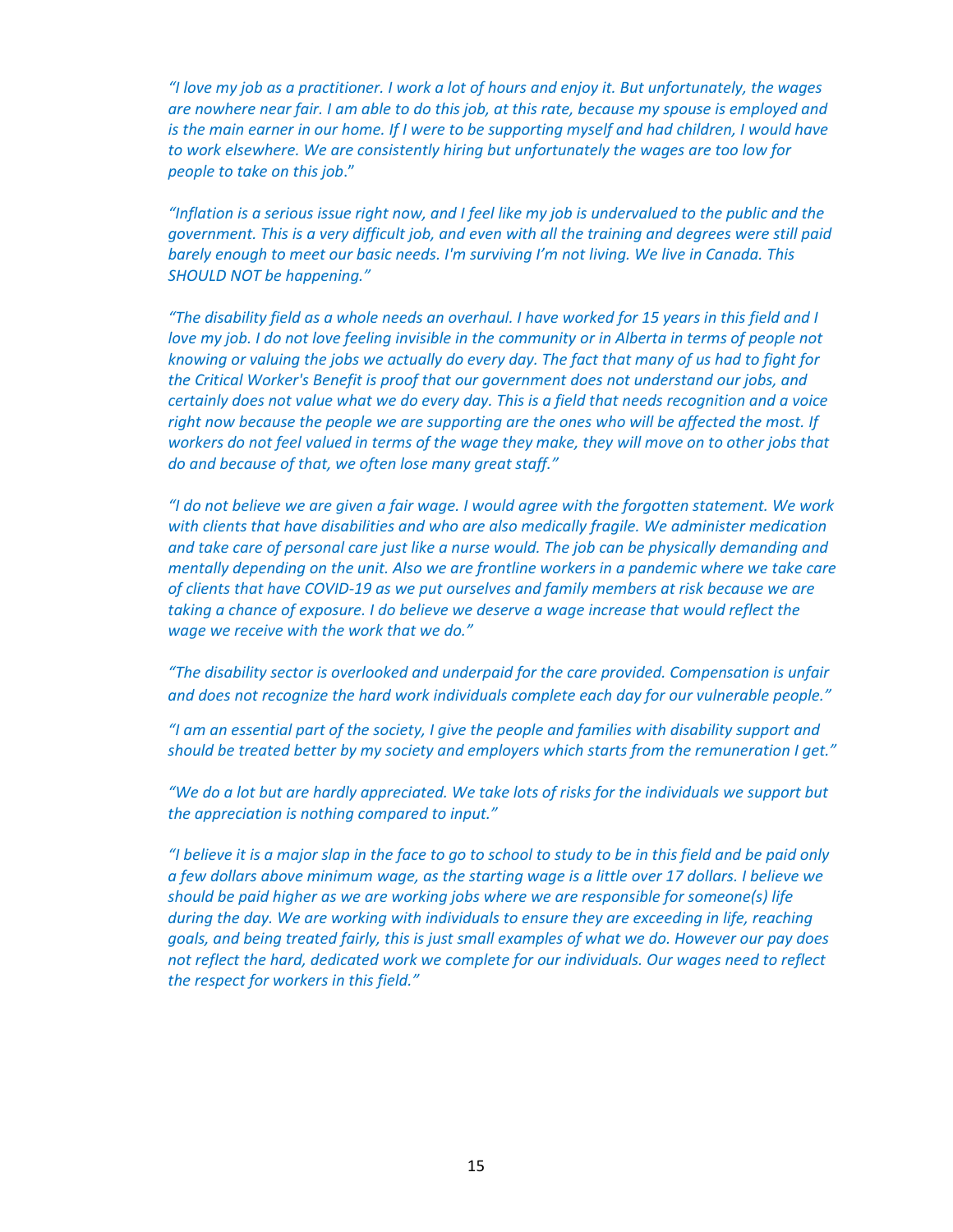*"I love my job as a practitioner. I work a lot of hours and enjoy it. But unfortunately, the wages are nowhere near fair. I am able to do this job, at this rate, because my spouse is employed and is the main earner in our home. If I were to be supporting myself and had children, I would have to work elsewhere. We are consistently hiring but unfortunately the wages are too low for people to take on this job*."

*"Inflation is a serious issue right now, and I feel like my job is undervalued to the public and the government. This is a very difficult job, and even with all the training and degrees were still paid barely enough to meet our basic needs. I'm surviving I'm not living. We live in Canada. This SHOULD NOT be happening."* 

*"The disability field as a whole needs an overhaul. I have worked for 15 years in this field and I love my job. I do not love feeling invisible in the community or in Alberta in terms of people not knowing or valuing the jobs we actually do every day. The fact that many of us had to fight for the Critical Worker's Benefit is proof that our government does not understand our jobs, and certainly does not value what we do every day. This is a field that needs recognition and a voice right now because the people we are supporting are the ones who will be affected the most. If workers do not feel valued in terms of the wage they make, they will move on to other jobs that do and because of that, we often lose many great staff."*

*"I do not believe we are given a fair wage. I would agree with the forgotten statement. We work with clients that have disabilities and who are also medically fragile. We administer medication and take care of personal care just like a nurse would. The job can be physically demanding and mentally depending on the unit. Also we are frontline workers in a pandemic where we take care of clients that have COVID-19 as we put ourselves and family members at risk because we are*  taking a chance of exposure. I do believe we deserve a wage increase that would reflect the *wage we receive with the work that we do."*

*"The disability sector is overlooked and underpaid for the care provided. Compensation is unfair and does not recognize the hard work individuals complete each day for our vulnerable people."*

*"I am an essential part of the society, I give the people and families with disability support and should be treated better by my society and employers which starts from the remuneration I get."*

*"We do a lot but are hardly appreciated. We take lots of risks for the individuals we support but the appreciation is nothing compared to input."*

*"I believe it is a major slap in the face to go to school to study to be in this field and be paid only a few dollars above minimum wage, as the starting wage is a little over 17 dollars. I believe we should be paid higher as we are working jobs where we are responsible for someone(s) life during the day. We are working with individuals to ensure they are exceeding in life, reaching goals, and being treated fairly, this is just small examples of what we do. However our pay does not reflect the hard, dedicated work we complete for our individuals. Our wages need to reflect the respect for workers in this field."*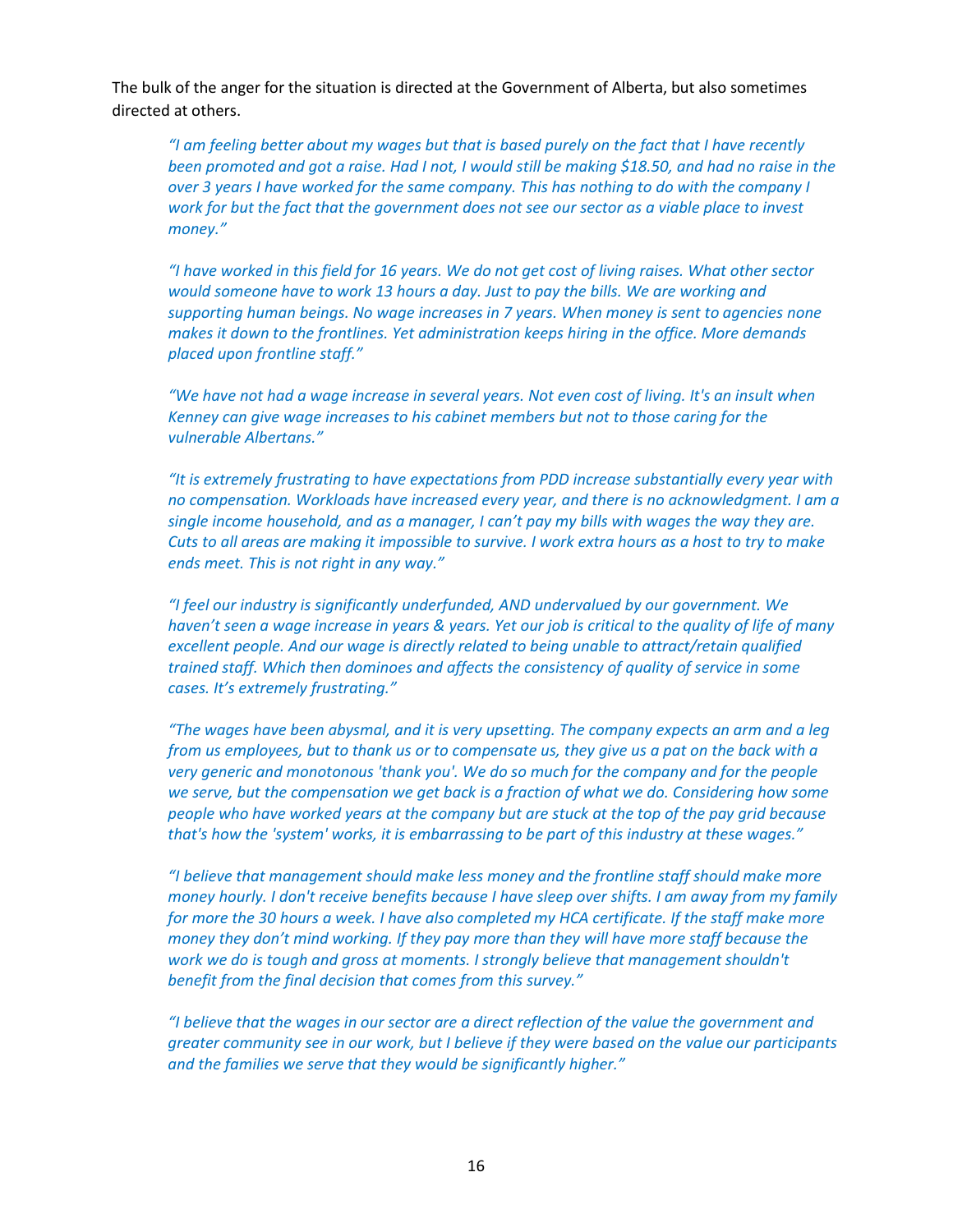The bulk of the anger for the situation is directed at the Government of Alberta, but also sometimes directed at others.

*"I am feeling better about my wages but that is based purely on the fact that I have recently been promoted and got a raise. Had I not, I would still be making \$18.50, and had no raise in the over 3 years I have worked for the same company. This has nothing to do with the company I work for but the fact that the government does not see our sector as a viable place to invest money."*

*"I have worked in this field for 16 years. We do not get cost of living raises. What other sector would someone have to work 13 hours a day. Just to pay the bills. We are working and supporting human beings. No wage increases in 7 years. When money is sent to agencies none makes it down to the frontlines. Yet administration keeps hiring in the office. More demands placed upon frontline staff."*

*"We have not had a wage increase in several years. Not even cost of living. It's an insult when Kenney can give wage increases to his cabinet members but not to those caring for the vulnerable Albertans."*

*"It is extremely frustrating to have expectations from PDD increase substantially every year with no compensation. Workloads have increased every year, and there is no acknowledgment. I am a single income household, and as a manager, I can't pay my bills with wages the way they are. Cuts to all areas are making it impossible to survive. I work extra hours as a host to try to make ends meet. This is not right in any way."* 

*"I feel our industry is significantly underfunded, AND undervalued by our government. We haven't seen a wage increase in years & years. Yet our job is critical to the quality of life of many excellent people. And our wage is directly related to being unable to attract/retain qualified trained staff. Which then dominoes and affects the consistency of quality of service in some cases. It's extremely frustrating."*

*"The wages have been abysmal, and it is very upsetting. The company expects an arm and a leg from us employees, but to thank us or to compensate us, they give us a pat on the back with a very generic and monotonous 'thank you'. We do so much for the company and for the people we serve, but the compensation we get back is a fraction of what we do. Considering how some people who have worked years at the company but are stuck at the top of the pay grid because that's how the 'system' works, it is embarrassing to be part of this industry at these wages."*

*"I believe that management should make less money and the frontline staff should make more money hourly. I don't receive benefits because I have sleep over shifts. I am away from my family for more the 30 hours a week. I have also completed my HCA certificate. If the staff make more money they don't mind working. If they pay more than they will have more staff because the work we do is tough and gross at moments. I strongly believe that management shouldn't benefit from the final decision that comes from this survey."*

*"I believe that the wages in our sector are a direct reflection of the value the government and greater community see in our work, but I believe if they were based on the value our participants and the families we serve that they would be significantly higher."*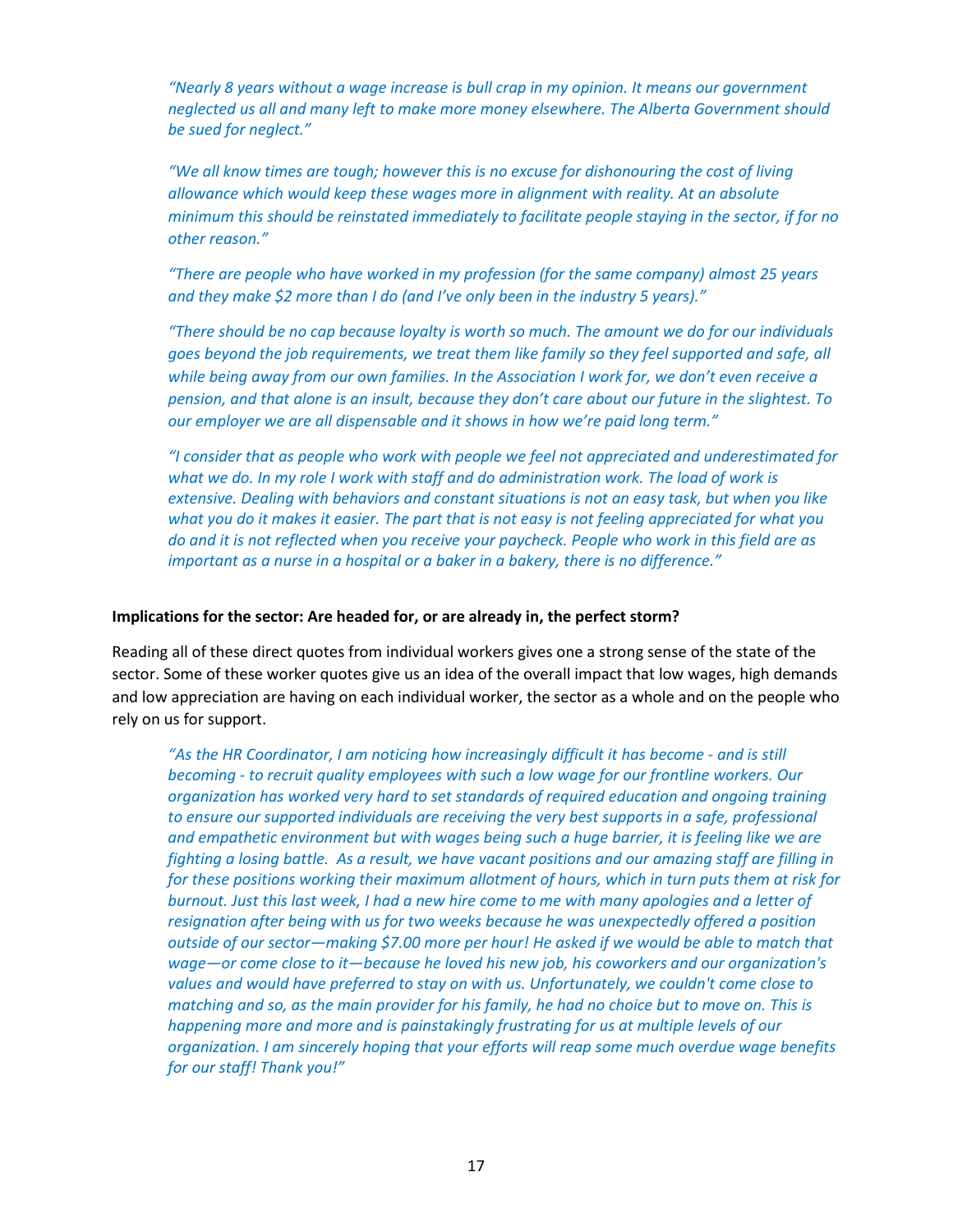*"Nearly 8 years without a wage increase is bull crap in my opinion. It means our government neglected us all and many left to make more money elsewhere. The Alberta Government should be sued for neglect."*

*"We all know times are tough; however this is no excuse for dishonouring the cost of living allowance which would keep these wages more in alignment with reality. At an absolute minimum this should be reinstated immediately to facilitate people staying in the sector, if for no other reason."*

*"There are people who have worked in my profession (for the same company) almost 25 years and they make \$2 more than I do (and I've only been in the industry 5 years)."*

*"There should be no cap because loyalty is worth so much. The amount we do for our individuals goes beyond the job requirements, we treat them like family so they feel supported and safe, all while being away from our own families. In the Association I work for, we don't even receive a pension, and that alone is an insult, because they don't care about our future in the slightest. To our employer we are all dispensable and it shows in how we're paid long term."*

*"I consider that as people who work with people we feel not appreciated and underestimated for*  what we do. In my role I work with staff and do administration work. The load of work is *extensive. Dealing with behaviors and constant situations is not an easy task, but when you like what you do it makes it easier. The part that is not easy is not feeling appreciated for what you do and it is not reflected when you receive your paycheck. People who work in this field are as important as a nurse in a hospital or a baker in a bakery, there is no difference."*

### **Implications for the sector: Are headed for, or are already in, the perfect storm?**

Reading all of these direct quotes from individual workers gives one a strong sense of the state of the sector. Some of these worker quotes give us an idea of the overall impact that low wages, high demands and low appreciation are having on each individual worker, the sector as a whole and on the people who rely on us for support.

*"As the HR Coordinator, I am noticing how increasingly difficult it has become - and is still becoming - to recruit quality employees with such a low wage for our frontline workers. Our organization has worked very hard to set standards of required education and ongoing training to ensure our supported individuals are receiving the very best supports in a safe, professional and empathetic environment but with wages being such a huge barrier, it is feeling like we are fighting a losing battle. As a result, we have vacant positions and our amazing staff are filling in for these positions working their maximum allotment of hours, which in turn puts them at risk for burnout. Just this last week, I had a new hire come to me with many apologies and a letter of resignation after being with us for two weeks because he was unexpectedly offered a position outside of our sector—making \$7.00 more per hour! He asked if we would be able to match that wage—or come close to it—because he loved his new job, his coworkers and our organization's values and would have preferred to stay on with us. Unfortunately, we couldn't come close to matching and so, as the main provider for his family, he had no choice but to move on. This is happening more and more and is painstakingly frustrating for us at multiple levels of our organization. I am sincerely hoping that your efforts will reap some much overdue wage benefits for our staff! Thank you!"*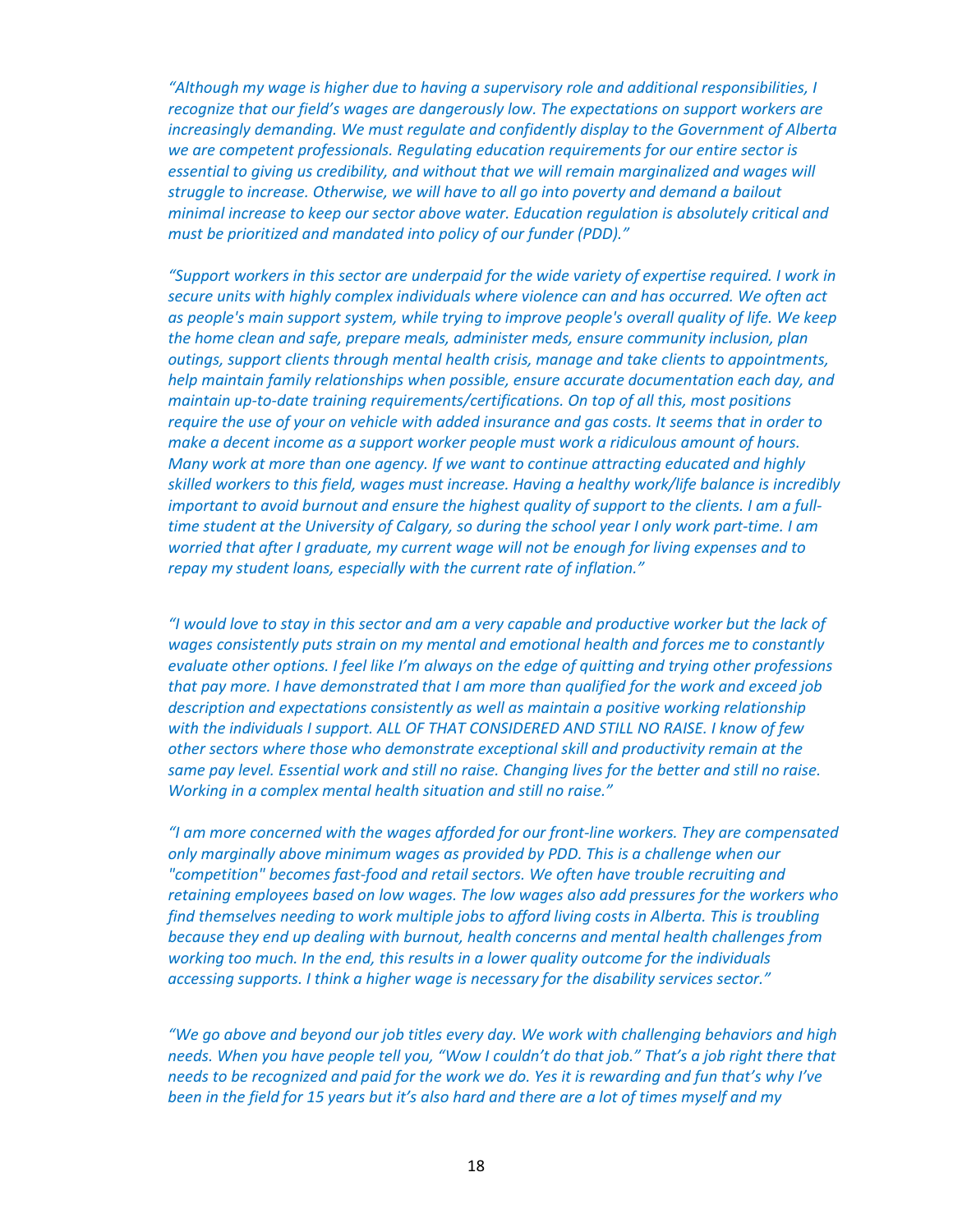*"Although my wage is higher due to having a supervisory role and additional responsibilities, I recognize that our field's wages are dangerously low. The expectations on support workers are increasingly demanding. We must regulate and confidently display to the Government of Alberta we are competent professionals. Regulating education requirements for our entire sector is essential to giving us credibility, and without that we will remain marginalized and wages will struggle to increase. Otherwise, we will have to all go into poverty and demand a bailout minimal increase to keep our sector above water. Education regulation is absolutely critical and must be prioritized and mandated into policy of our funder (PDD)."*

*"Support workers in this sector are underpaid for the wide variety of expertise required. I work in secure units with highly complex individuals where violence can and has occurred. We often act as people's main support system, while trying to improve people's overall quality of life. We keep the home clean and safe, prepare meals, administer meds, ensure community inclusion, plan outings, support clients through mental health crisis, manage and take clients to appointments, help maintain family relationships when possible, ensure accurate documentation each day, and maintain up-to-date training requirements/certifications. On top of all this, most positions require the use of your on vehicle with added insurance and gas costs. It seems that in order to make a decent income as a support worker people must work a ridiculous amount of hours. Many work at more than one agency. If we want to continue attracting educated and highly skilled workers to this field, wages must increase. Having a healthy work/life balance is incredibly important to avoid burnout and ensure the highest quality of support to the clients. I am a fulltime student at the University of Calgary, so during the school year I only work part-time. I am worried that after I graduate, my current wage will not be enough for living expenses and to repay my student loans, especially with the current rate of inflation."*

*"I would love to stay in this sector and am a very capable and productive worker but the lack of wages consistently puts strain on my mental and emotional health and forces me to constantly evaluate other options. I feel like I'm always on the edge of quitting and trying other professions that pay more. I have demonstrated that I am more than qualified for the work and exceed job description and expectations consistently as well as maintain a positive working relationship with the individuals I support. ALL OF THAT CONSIDERED AND STILL NO RAISE. I know of few other sectors where those who demonstrate exceptional skill and productivity remain at the same pay level. Essential work and still no raise. Changing lives for the better and still no raise. Working in a complex mental health situation and still no raise."*

*"I am more concerned with the wages afforded for our front-line workers. They are compensated only marginally above minimum wages as provided by PDD. This is a challenge when our "competition" becomes fast-food and retail sectors. We often have trouble recruiting and retaining employees based on low wages. The low wages also add pressures for the workers who find themselves needing to work multiple jobs to afford living costs in Alberta. This is troubling because they end up dealing with burnout, health concerns and mental health challenges from working too much. In the end, this results in a lower quality outcome for the individuals accessing supports. I think a higher wage is necessary for the disability services sector."*

*"We go above and beyond our job titles every day. We work with challenging behaviors and high needs. When you have people tell you, "Wow I couldn't do that job." That's a job right there that needs to be recognized and paid for the work we do. Yes it is rewarding and fun that's why I've been in the field for 15 years but it's also hard and there are a lot of times myself and my*